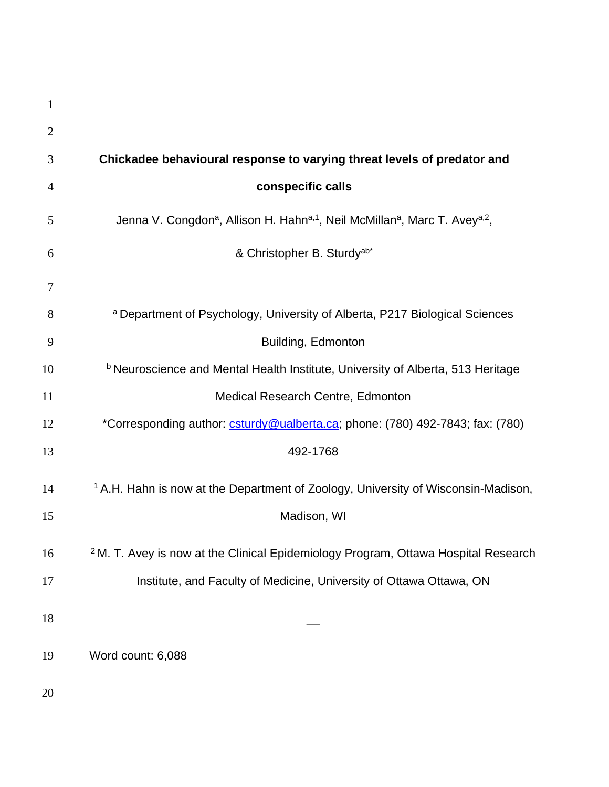| 1              |                                                                                                                               |
|----------------|-------------------------------------------------------------------------------------------------------------------------------|
| $\overline{2}$ |                                                                                                                               |
| 3              | Chickadee behavioural response to varying threat levels of predator and                                                       |
| 4              | conspecific calls                                                                                                             |
| 5              | Jenna V. Congdon <sup>a</sup> , Allison H. Hahn <sup>a, 1</sup> , Neil McMillan <sup>a</sup> , Marc T. Avey <sup>a, 2</sup> , |
| 6              | & Christopher B. Sturdy <sup>ab*</sup>                                                                                        |
| 7              |                                                                                                                               |
| 8              | a Department of Psychology, University of Alberta, P217 Biological Sciences                                                   |
| 9              | Building, Edmonton                                                                                                            |
| 10             | <b>b</b> Neuroscience and Mental Health Institute, University of Alberta, 513 Heritage                                        |
| 11             | Medical Research Centre, Edmonton                                                                                             |
| 12             | *Corresponding author: csturdy@ualberta.ca; phone: (780) 492-7843; fax: (780)                                                 |
| 13             | 492-1768                                                                                                                      |
| 14             | <sup>1</sup> A.H. Hahn is now at the Department of Zoology, University of Wisconsin-Madison,                                  |
| 15             | Madison, WI                                                                                                                   |
| 16             | <sup>2</sup> M. T. Avey is now at the Clinical Epidemiology Program, Ottawa Hospital Research                                 |
| 17             | Institute, and Faculty of Medicine, University of Ottawa Ottawa, ON                                                           |
| 18             |                                                                                                                               |
| 19             | Word count: 6,088                                                                                                             |
| 20             |                                                                                                                               |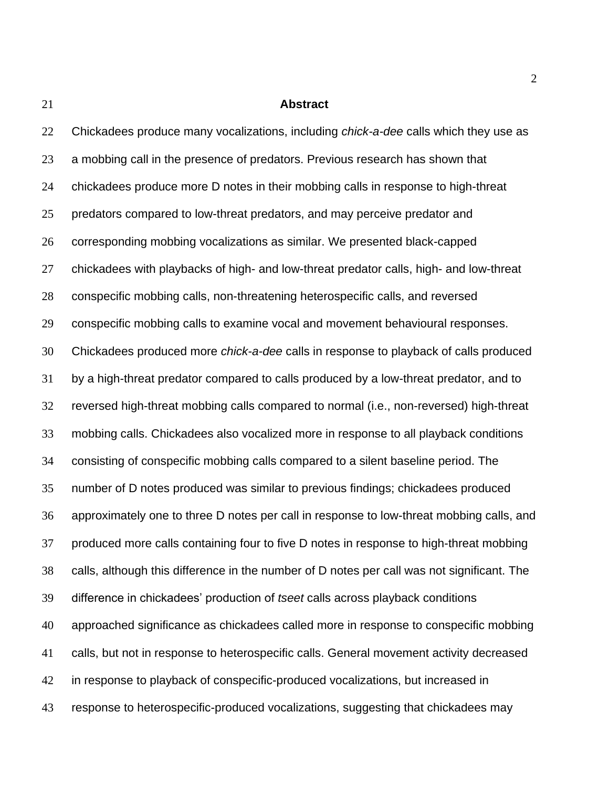#### **Abstract**

 Chickadees produce many vocalizations, including *chick-a-dee* calls which they use as a mobbing call in the presence of predators. Previous research has shown that chickadees produce more D notes in their mobbing calls in response to high-threat predators compared to low-threat predators, and may perceive predator and corresponding mobbing vocalizations as similar. We presented black-capped chickadees with playbacks of high- and low-threat predator calls, high- and low-threat conspecific mobbing calls, non-threatening heterospecific calls, and reversed conspecific mobbing calls to examine vocal and movement behavioural responses. Chickadees produced more *chick-a-dee* calls in response to playback of calls produced by a high-threat predator compared to calls produced by a low-threat predator, and to reversed high-threat mobbing calls compared to normal (i.e., non-reversed) high-threat mobbing calls. Chickadees also vocalized more in response to all playback conditions consisting of conspecific mobbing calls compared to a silent baseline period. The number of D notes produced was similar to previous findings; chickadees produced approximately one to three D notes per call in response to low-threat mobbing calls, and produced more calls containing four to five D notes in response to high-threat mobbing calls, although this difference in the number of D notes per call was not significant. The difference in chickadees' production of *tseet* calls across playback conditions approached significance as chickadees called more in response to conspecific mobbing calls, but not in response to heterospecific calls. General movement activity decreased in response to playback of conspecific-produced vocalizations, but increased in response to heterospecific-produced vocalizations, suggesting that chickadees may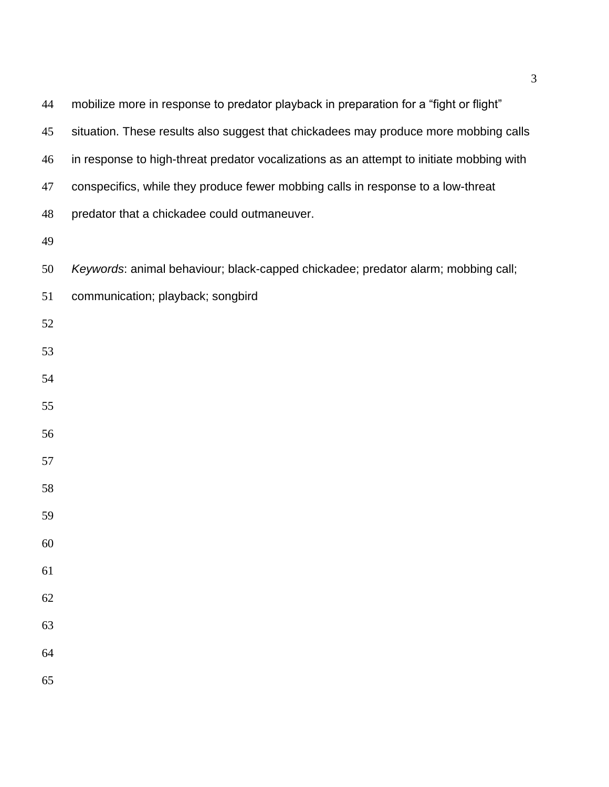| 44 | mobilize more in response to predator playback in preparation for a "fight or flight"    |
|----|------------------------------------------------------------------------------------------|
| 45 | situation. These results also suggest that chickadees may produce more mobbing calls     |
| 46 | in response to high-threat predator vocalizations as an attempt to initiate mobbing with |
| 47 | conspecifics, while they produce fewer mobbing calls in response to a low-threat         |
| 48 | predator that a chickadee could outmaneuver.                                             |
| 49 |                                                                                          |
| 50 | Keywords: animal behaviour; black-capped chickadee; predator alarm; mobbing call;        |
| 51 | communication; playback; songbird                                                        |
| 52 |                                                                                          |
| 53 |                                                                                          |
| 54 |                                                                                          |
| 55 |                                                                                          |
| 56 |                                                                                          |
| 57 |                                                                                          |
| 58 |                                                                                          |
| 59 |                                                                                          |
| 60 |                                                                                          |
| 61 |                                                                                          |
| 62 |                                                                                          |
| 63 |                                                                                          |
| 64 |                                                                                          |
| 65 |                                                                                          |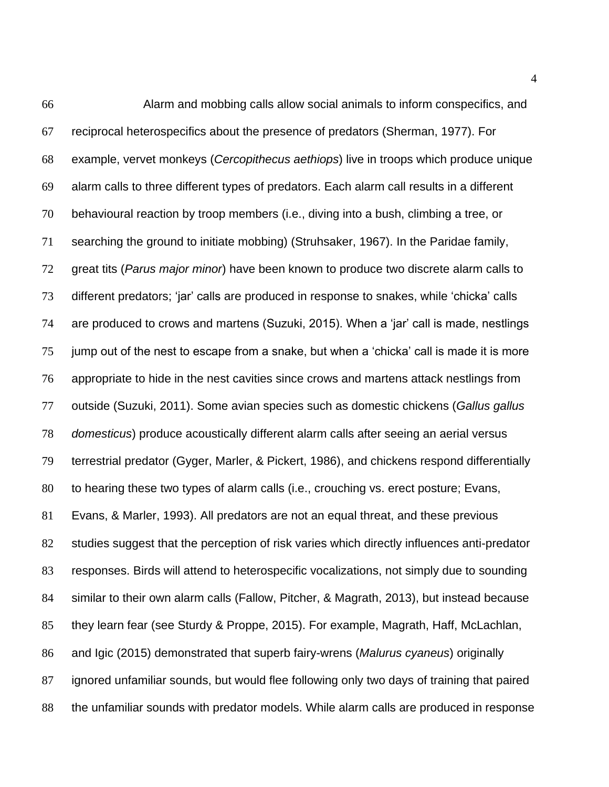Alarm and mobbing calls allow social animals to inform conspecifics, and reciprocal heterospecifics about the presence of predators (Sherman, 1977). For example, vervet monkeys (*Cercopithecus aethiops*) live in troops which produce unique alarm calls to three different types of predators. Each alarm call results in a different behavioural reaction by troop members (i.e., diving into a bush, climbing a tree, or searching the ground to initiate mobbing) (Struhsaker, 1967). In the Paridae family, great tits (*Parus major minor*) have been known to produce two discrete alarm calls to different predators; 'jar' calls are produced in response to snakes, while 'chicka' calls are produced to crows and martens (Suzuki, 2015). When a 'jar' call is made, nestlings jump out of the nest to escape from a snake, but when a 'chicka' call is made it is more appropriate to hide in the nest cavities since crows and martens attack nestlings from outside (Suzuki, 2011). Some avian species such as domestic chickens (*Gallus gallus domesticus*) produce acoustically different alarm calls after seeing an aerial versus terrestrial predator (Gyger, Marler, & Pickert, 1986), and chickens respond differentially to hearing these two types of alarm calls (i.e., crouching vs. erect posture; Evans, Evans, & Marler, 1993). All predators are not an equal threat, and these previous studies suggest that the perception of risk varies which directly influences anti-predator responses. Birds will attend to heterospecific vocalizations, not simply due to sounding similar to their own alarm calls (Fallow, Pitcher, & Magrath, 2013), but instead because they learn fear (see Sturdy & Proppe, 2015). For example, Magrath, Haff, McLachlan, and Igic (2015) demonstrated that superb fairy-wrens (*Malurus cyaneus*) originally ignored unfamiliar sounds, but would flee following only two days of training that paired the unfamiliar sounds with predator models. While alarm calls are produced in response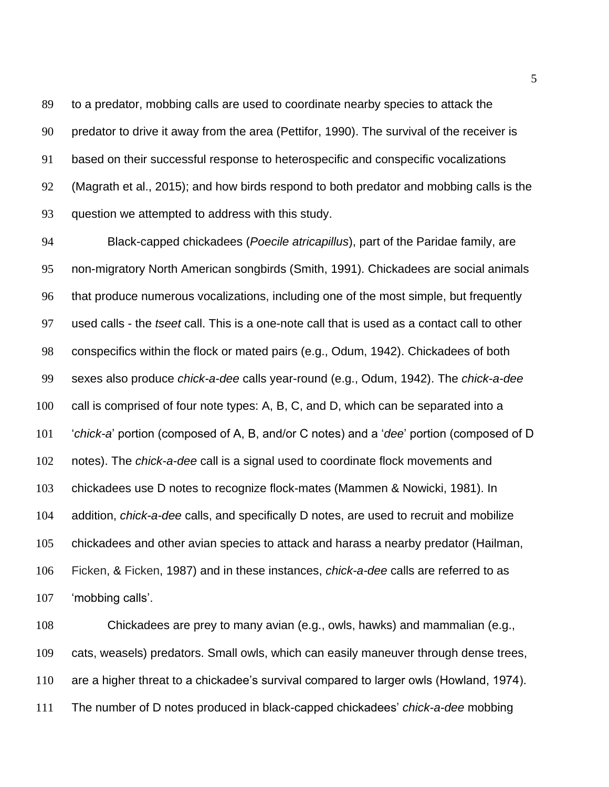to a predator, mobbing calls are used to coordinate nearby species to attack the predator to drive it away from the area (Pettifor, 1990). The survival of the receiver is based on their successful response to heterospecific and conspecific vocalizations (Magrath et al., 2015); and how birds respond to both predator and mobbing calls is the question we attempted to address with this study.

 Black-capped chickadees (*Poecile atricapillus*), part of the Paridae family, are non-migratory North American songbirds (Smith, 1991). Chickadees are social animals that produce numerous vocalizations, including one of the most simple, but frequently used calls - the *tseet* call. This is a one-note call that is used as a contact call to other conspecifics within the flock or mated pairs (e.g., Odum, 1942). Chickadees of both sexes also produce *chick-a-dee* calls year-round (e.g., Odum, 1942). The *chick-a-dee*  call is comprised of four note types: A, B, C, and D, which can be separated into a '*chick-a*' portion (composed of A, B, and/or C notes) and a '*dee*' portion (composed of D notes). The *chick-a-dee* call is a signal used to coordinate flock movements and chickadees use D notes to recognize flock-mates (Mammen & Nowicki, 1981). In addition, *chick-a-dee* calls, and specifically D notes, are used to recruit and mobilize chickadees and other avian species to attack and harass a nearby predator (Hailman, Ficken, & Ficken, 1987) and in these instances, *chick-a-dee* calls are referred to as 'mobbing calls'.

 Chickadees are prey to many avian (e.g., owls, hawks) and mammalian (e.g., cats, weasels) predators. Small owls, which can easily maneuver through dense trees, are a higher threat to a chickadee's survival compared to larger owls (Howland, 1974). The number of D notes produced in black-capped chickadees' *chick-a-dee* mobbing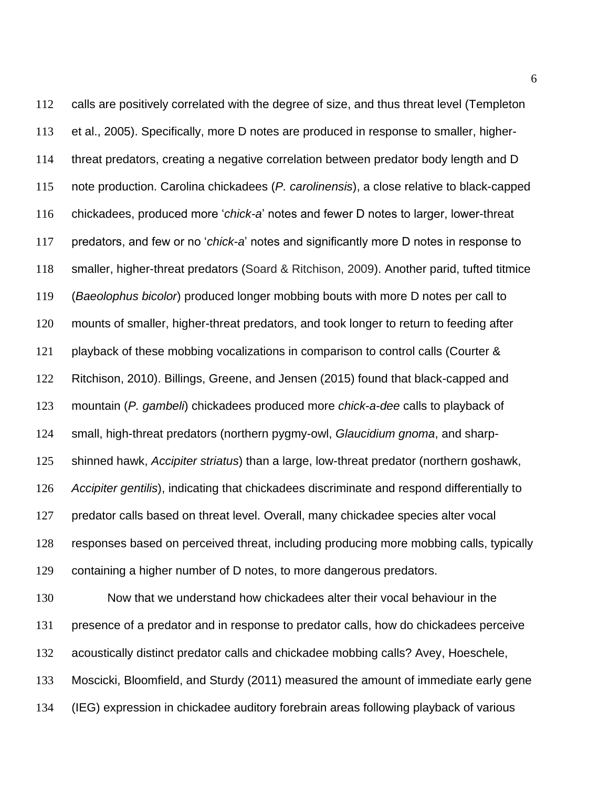calls are positively correlated with the degree of size, and thus threat level (Templeton et al., 2005). Specifically, more D notes are produced in response to smaller, higher- threat predators, creating a negative correlation between predator body length and D note production. Carolina chickadees (*P. carolinensis*), a close relative to black-capped chickadees, produced more '*chick-a*' notes and fewer D notes to larger, lower-threat predators, and few or no '*chick-a*' notes and significantly more D notes in response to smaller, higher-threat predators (Soard & Ritchison, 2009). Another parid, tufted titmice (*Baeolophus bicolor*) produced longer mobbing bouts with more D notes per call to mounts of smaller, higher-threat predators, and took longer to return to feeding after 121 playback of these mobbing vocalizations in comparison to control calls (Courter & Ritchison, 2010). Billings, Greene, and Jensen (2015) found that black-capped and mountain (*P. gambeli*) chickadees produced more *chick-a-dee* calls to playback of small, high-threat predators (northern pygmy-owl, *Glaucidium gnoma*, and sharp- shinned hawk, *Accipiter striatus*) than a large, low-threat predator (northern goshawk, *Accipiter gentilis*), indicating that chickadees discriminate and respond differentially to predator calls based on threat level. Overall, many chickadee species alter vocal responses based on perceived threat, including producing more mobbing calls, typically containing a higher number of D notes, to more dangerous predators.

 Now that we understand how chickadees alter their vocal behaviour in the presence of a predator and in response to predator calls, how do chickadees perceive acoustically distinct predator calls and chickadee mobbing calls? Avey, Hoeschele, Moscicki, Bloomfield, and Sturdy (2011) measured the amount of immediate early gene (IEG) expression in chickadee auditory forebrain areas following playback of various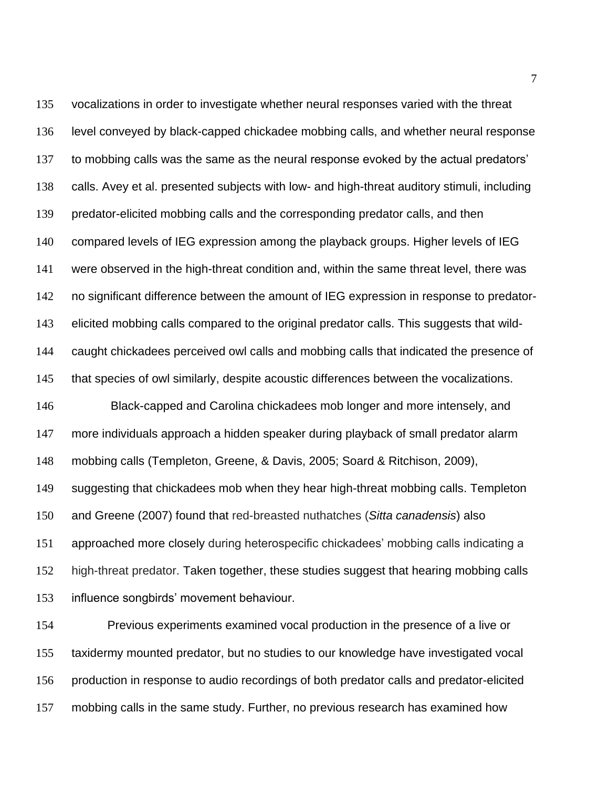vocalizations in order to investigate whether neural responses varied with the threat level conveyed by black-capped chickadee mobbing calls, and whether neural response to mobbing calls was the same as the neural response evoked by the actual predators' calls. Avey et al. presented subjects with low- and high-threat auditory stimuli, including predator-elicited mobbing calls and the corresponding predator calls, and then compared levels of IEG expression among the playback groups. Higher levels of IEG were observed in the high-threat condition and, within the same threat level, there was no significant difference between the amount of IEG expression in response to predator- elicited mobbing calls compared to the original predator calls. This suggests that wild- caught chickadees perceived owl calls and mobbing calls that indicated the presence of 145 that species of owl similarly, despite acoustic differences between the vocalizations. Black-capped and Carolina chickadees mob longer and more intensely, and more individuals approach a hidden speaker during playback of small predator alarm mobbing calls (Templeton, Greene, & Davis, 2005; Soard & Ritchison, 2009), suggesting that chickadees mob when they hear high-threat mobbing calls. Templeton and Greene (2007) found that red-breasted nuthatches (*Sitta canadensis*) also approached more closely during heterospecific chickadees' mobbing calls indicating a high-threat predator. Taken together, these studies suggest that hearing mobbing calls influence songbirds' movement behaviour.

 Previous experiments examined vocal production in the presence of a live or taxidermy mounted predator, but no studies to our knowledge have investigated vocal production in response to audio recordings of both predator calls and predator-elicited mobbing calls in the same study. Further, no previous research has examined how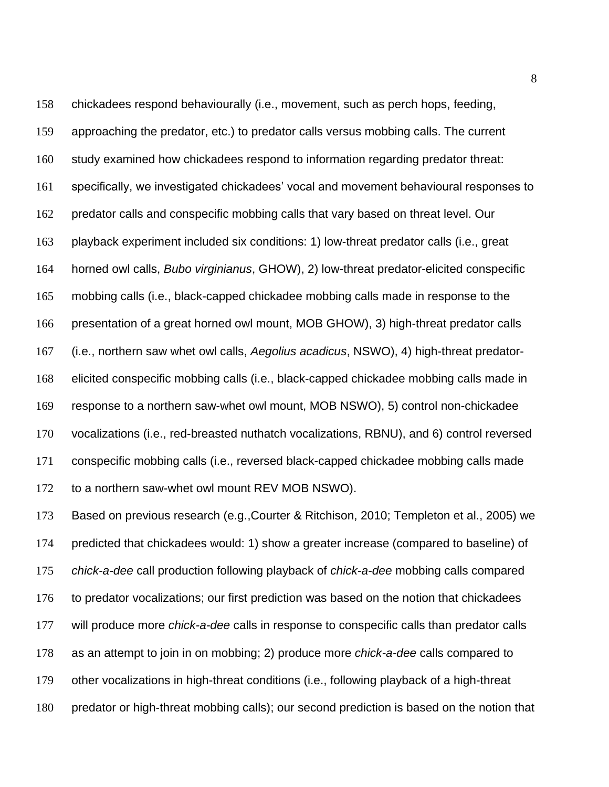chickadees respond behaviourally (i.e., movement, such as perch hops, feeding, approaching the predator, etc.) to predator calls versus mobbing calls. The current study examined how chickadees respond to information regarding predator threat: specifically, we investigated chickadees' vocal and movement behavioural responses to predator calls and conspecific mobbing calls that vary based on threat level. Our playback experiment included six conditions: 1) low-threat predator calls (i.e., great horned owl calls, *Bubo virginianus*, GHOW), 2) low-threat predator-elicited conspecific mobbing calls (i.e., black-capped chickadee mobbing calls made in response to the presentation of a great horned owl mount, MOB GHOW), 3) high-threat predator calls (i.e., northern saw whet owl calls, *Aegolius acadicus*, NSWO), 4) high-threat predator- elicited conspecific mobbing calls (i.e., black-capped chickadee mobbing calls made in response to a northern saw-whet owl mount, MOB NSWO), 5) control non-chickadee vocalizations (i.e., red-breasted nuthatch vocalizations, RBNU), and 6) control reversed conspecific mobbing calls (i.e., reversed black-capped chickadee mobbing calls made to a northern saw-whet owl mount REV MOB NSWO).

 Based on previous research (e.g.,Courter & Ritchison, 2010; Templeton et al., 2005) we predicted that chickadees would: 1) show a greater increase (compared to baseline) of *chick-a-dee* call production following playback of *chick-a-dee* mobbing calls compared to predator vocalizations; our first prediction was based on the notion that chickadees will produce more *chick-a-dee* calls in response to conspecific calls than predator calls as an attempt to join in on mobbing; 2) produce more *chick-a-dee* calls compared to other vocalizations in high-threat conditions (i.e., following playback of a high-threat predator or high-threat mobbing calls); our second prediction is based on the notion that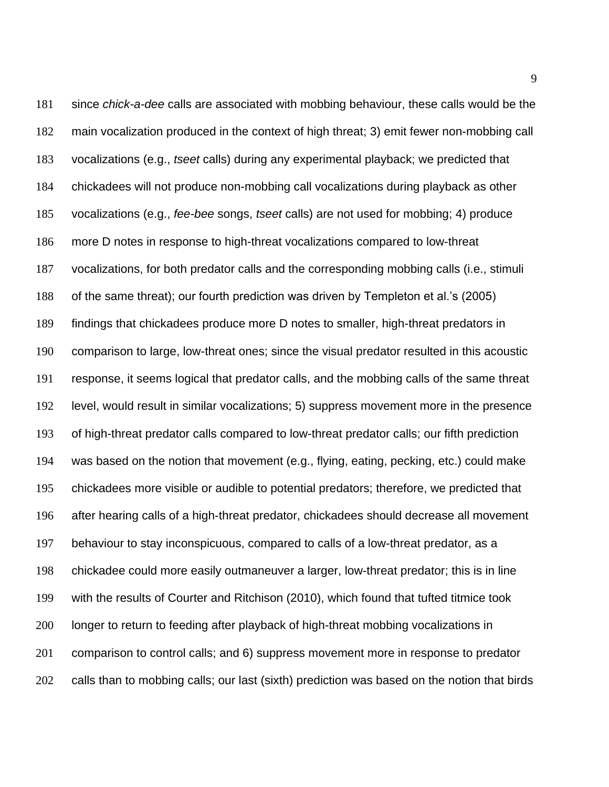since *chick-a-dee* calls are associated with mobbing behaviour, these calls would be the main vocalization produced in the context of high threat; 3) emit fewer non-mobbing call vocalizations (e.g., *tseet* calls) during any experimental playback; we predicted that chickadees will not produce non-mobbing call vocalizations during playback as other vocalizations (e.g., *fee-bee* songs, *tseet* calls) are not used for mobbing; 4) produce more D notes in response to high-threat vocalizations compared to low-threat vocalizations, for both predator calls and the corresponding mobbing calls (i.e., stimuli of the same threat); our fourth prediction was driven by Templeton et al.'s (2005) findings that chickadees produce more D notes to smaller, high-threat predators in comparison to large, low-threat ones; since the visual predator resulted in this acoustic response, it seems logical that predator calls, and the mobbing calls of the same threat level, would result in similar vocalizations; 5) suppress movement more in the presence of high-threat predator calls compared to low-threat predator calls; our fifth prediction was based on the notion that movement (e.g., flying, eating, pecking, etc.) could make chickadees more visible or audible to potential predators; therefore, we predicted that after hearing calls of a high-threat predator, chickadees should decrease all movement behaviour to stay inconspicuous, compared to calls of a low-threat predator, as a chickadee could more easily outmaneuver a larger, low-threat predator; this is in line with the results of Courter and Ritchison (2010), which found that tufted titmice took 200 longer to return to feeding after playback of high-threat mobbing vocalizations in comparison to control calls; and 6) suppress movement more in response to predator 202 calls than to mobbing calls; our last (sixth) prediction was based on the notion that birds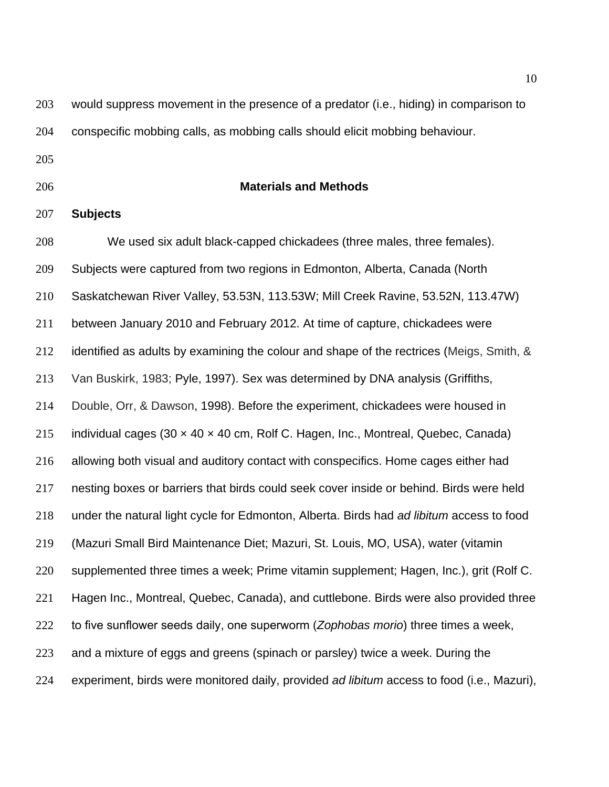would suppress movement in the presence of a predator (i.e., hiding) in comparison to conspecific mobbing calls, as mobbing calls should elicit mobbing behaviour.

- 
- 

## **Materials and Methods**

## **Subjects**

 We used six adult black-capped chickadees (three males, three females). Subjects were captured from two regions in Edmonton, Alberta, Canada (North Saskatchewan River Valley, 53.53N, 113.53W; Mill Creek Ravine, 53.52N, 113.47W) between January 2010 and February 2012. At time of capture, chickadees were 212 identified as adults by examining the colour and shape of the rectrices (Meigs, Smith, & Van Buskirk, 1983; Pyle, 1997). Sex was determined by DNA analysis (Griffiths, Double, Orr, & Dawson, 1998). Before the experiment, chickadees were housed in 215 individual cages (30  $\times$  40  $\times$  40 cm, Rolf C. Hagen, Inc., Montreal, Quebec, Canada) allowing both visual and auditory contact with conspecifics. Home cages either had nesting boxes or barriers that birds could seek cover inside or behind. Birds were held under the natural light cycle for Edmonton, Alberta. Birds had *ad libitum* access to food (Mazuri Small Bird Maintenance Diet; Mazuri, St. Louis, MO, USA), water (vitamin supplemented three times a week; Prime vitamin supplement; Hagen, Inc.), grit (Rolf C. Hagen Inc., Montreal, Quebec, Canada), and cuttlebone. Birds were also provided three to five sunflower seeds daily, one superworm (*Zophobas morio*) three times a week, and a mixture of eggs and greens (spinach or parsley) twice a week. During the experiment, birds were monitored daily, provided *ad libitum* access to food (i.e., Mazuri),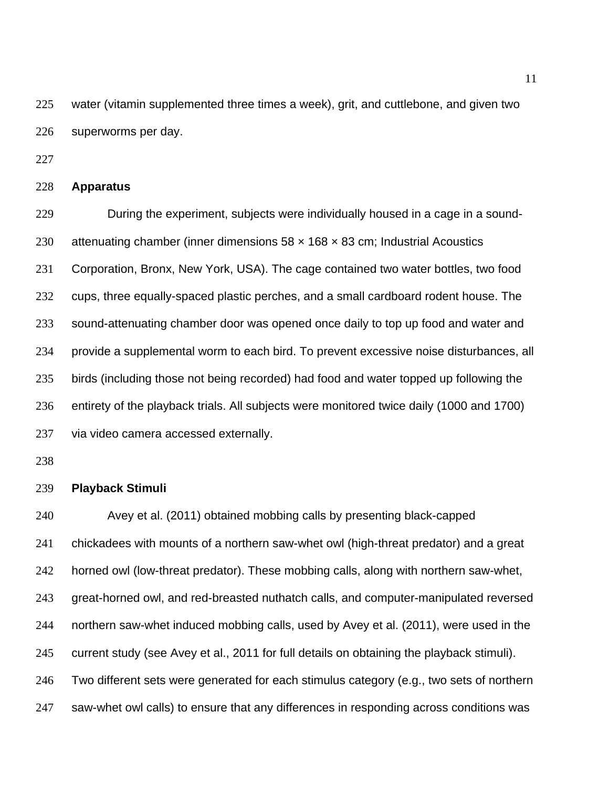water (vitamin supplemented three times a week), grit, and cuttlebone, and given two superworms per day.

# **Apparatus**

 During the experiment, subjects were individually housed in a cage in a sound-230 attenuating chamber (inner dimensions  $58 \times 168 \times 83$  cm; Industrial Acoustics Corporation, Bronx, New York, USA). The cage contained two water bottles, two food cups, three equally-spaced plastic perches, and a small cardboard rodent house. The sound-attenuating chamber door was opened once daily to top up food and water and provide a supplemental worm to each bird. To prevent excessive noise disturbances, all birds (including those not being recorded) had food and water topped up following the entirety of the playback trials. All subjects were monitored twice daily (1000 and 1700) via video camera accessed externally.

# **Playback Stimuli**

 Avey et al. (2011) obtained mobbing calls by presenting black-capped chickadees with mounts of a northern saw-whet owl (high-threat predator) and a great horned owl (low-threat predator). These mobbing calls, along with northern saw-whet, great-horned owl, and red-breasted nuthatch calls, and computer-manipulated reversed northern saw-whet induced mobbing calls, used by Avey et al. (2011), were used in the current study (see Avey et al., 2011 for full details on obtaining the playback stimuli). Two different sets were generated for each stimulus category (e.g., two sets of northern saw-whet owl calls) to ensure that any differences in responding across conditions was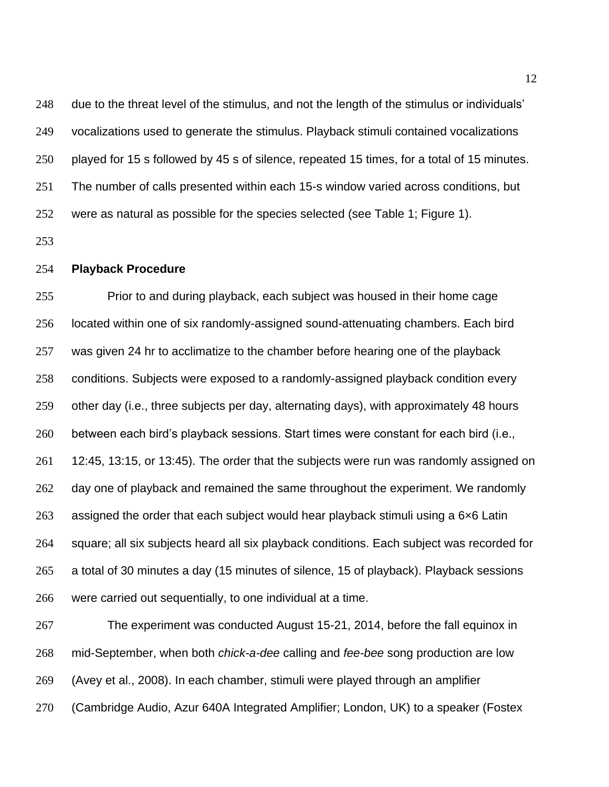due to the threat level of the stimulus, and not the length of the stimulus or individuals' vocalizations used to generate the stimulus. Playback stimuli contained vocalizations played for 15 s followed by 45 s of silence, repeated 15 times, for a total of 15 minutes. The number of calls presented within each 15-s window varied across conditions, but were as natural as possible for the species selected (see Table 1; Figure 1).

## **Playback Procedure**

 Prior to and during playback, each subject was housed in their home cage located within one of six randomly-assigned sound-attenuating chambers. Each bird was given 24 hr to acclimatize to the chamber before hearing one of the playback conditions. Subjects were exposed to a randomly-assigned playback condition every other day (i.e., three subjects per day, alternating days), with approximately 48 hours between each bird's playback sessions. Start times were constant for each bird (i.e., 12:45, 13:15, or 13:45). The order that the subjects were run was randomly assigned on day one of playback and remained the same throughout the experiment. We randomly assigned the order that each subject would hear playback stimuli using a 6×6 Latin square; all six subjects heard all six playback conditions. Each subject was recorded for a total of 30 minutes a day (15 minutes of silence, 15 of playback). Playback sessions were carried out sequentially, to one individual at a time.

 The experiment was conducted August 15-21, 2014, before the fall equinox in mid-September, when both *chick-a-dee* calling and *fee-bee* song production are low (Avey et al., 2008). In each chamber, stimuli were played through an amplifier (Cambridge Audio, Azur 640A Integrated Amplifier; London, UK) to a speaker (Fostex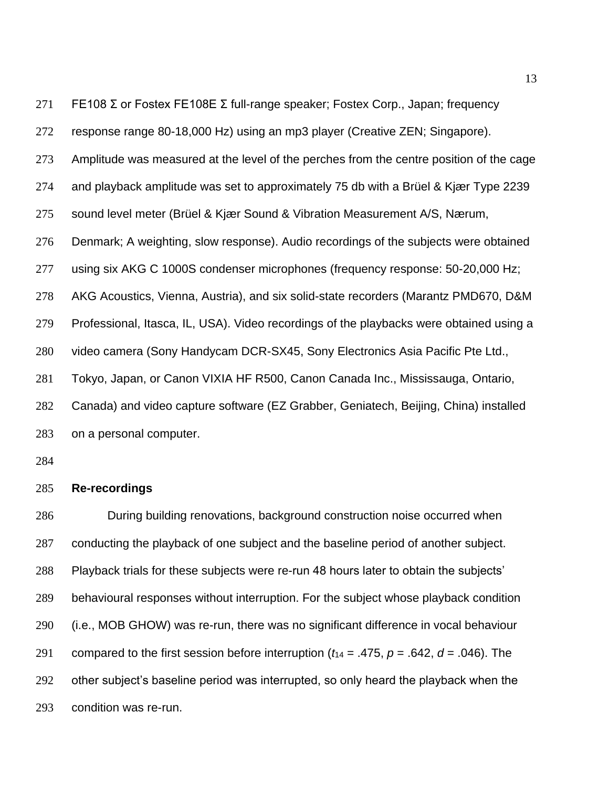FE108 Σ or Fostex FE108E Σ full-range speaker; Fostex Corp., Japan; frequency response range 80-18,000 Hz) using an mp3 player (Creative ZEN; Singapore). Amplitude was measured at the level of the perches from the centre position of the cage and playback amplitude was set to approximately 75 db with a Brüel & Kjær Type 2239 sound level meter (Brüel & Kjær Sound & Vibration Measurement A/S, Nærum, Denmark; A weighting, slow response). Audio recordings of the subjects were obtained using six AKG C 1000S condenser microphones (frequency response: 50-20,000 Hz; AKG Acoustics, Vienna, Austria), and six solid-state recorders (Marantz PMD670, D&M Professional, Itasca, IL, USA). Video recordings of the playbacks were obtained using a video camera (Sony Handycam DCR-SX45, Sony Electronics Asia Pacific Pte Ltd., Tokyo, Japan, or Canon VIXIA HF R500, Canon Canada Inc., Mississauga, Ontario, Canada) and video capture software (EZ Grabber, Geniatech, Beijing, China) installed on a personal computer.

# **Re-recordings**

 During building renovations, background construction noise occurred when conducting the playback of one subject and the baseline period of another subject. Playback trials for these subjects were re-run 48 hours later to obtain the subjects' behavioural responses without interruption. For the subject whose playback condition (i.e., MOB GHOW) was re-run, there was no significant difference in vocal behaviour 291 compared to the first session before interruption  $(t_{14} = .475, p = .642, d = .046)$ . The other subject's baseline period was interrupted, so only heard the playback when the condition was re-run.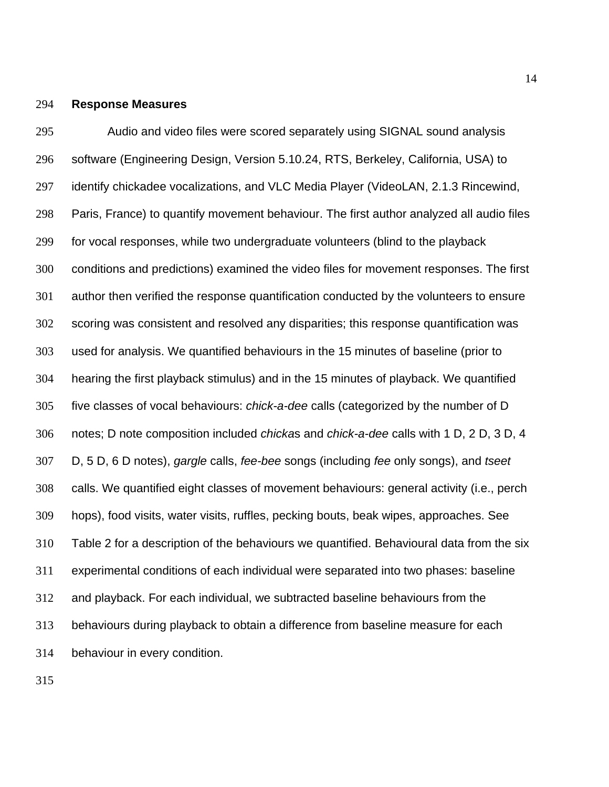## **Response Measures**

 Audio and video files were scored separately using SIGNAL sound analysis software (Engineering Design, Version 5.10.24, RTS, Berkeley, California, USA) to identify chickadee vocalizations, and VLC Media Player (VideoLAN, 2.1.3 Rincewind, Paris, France) to quantify movement behaviour. The first author analyzed all audio files for vocal responses, while two undergraduate volunteers (blind to the playback conditions and predictions) examined the video files for movement responses. The first author then verified the response quantification conducted by the volunteers to ensure scoring was consistent and resolved any disparities; this response quantification was used for analysis. We quantified behaviours in the 15 minutes of baseline (prior to hearing the first playback stimulus) and in the 15 minutes of playback. We quantified five classes of vocal behaviours: *chick-a-dee* calls (categorized by the number of D notes; D note composition included *chicka*s and *chick-a-dee* calls with 1 D, 2 D, 3 D, 4 D, 5 D, 6 D notes), *gargle* calls, *fee-bee* songs (including *fee* only songs), and *tseet*  calls. We quantified eight classes of movement behaviours: general activity (i.e., perch hops), food visits, water visits, ruffles, pecking bouts, beak wipes, approaches. See Table 2 for a description of the behaviours we quantified. Behavioural data from the six experimental conditions of each individual were separated into two phases: baseline and playback. For each individual, we subtracted baseline behaviours from the behaviours during playback to obtain a difference from baseline measure for each behaviour in every condition.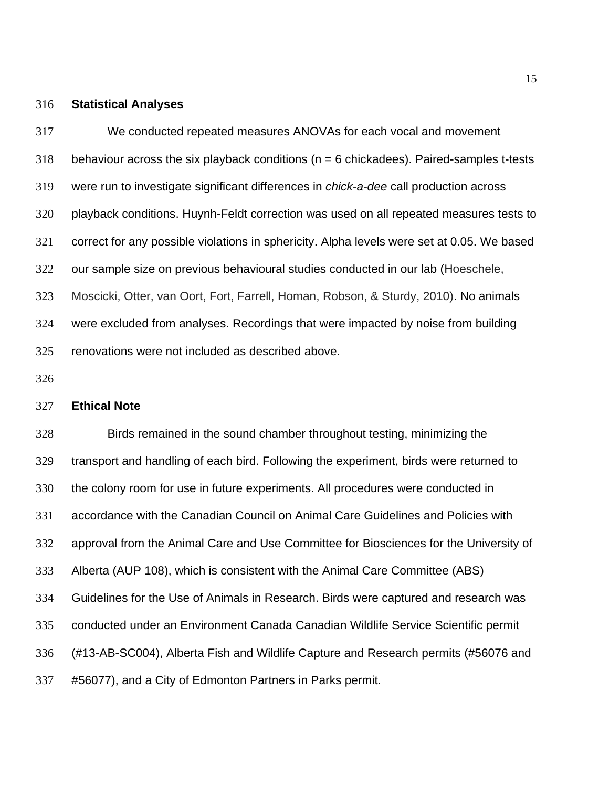#### **Statistical Analyses**

 We conducted repeated measures ANOVAs for each vocal and movement 318 behaviour across the six playback conditions ( $n = 6$  chickadees). Paired-samples t-tests were run to investigate significant differences in *chick-a-dee* call production across playback conditions. Huynh-Feldt correction was used on all repeated measures tests to correct for any possible violations in sphericity. Alpha levels were set at 0.05. We based our sample size on previous behavioural studies conducted in our lab (Hoeschele, Moscicki, Otter, van Oort, Fort, Farrell, Homan, Robson, & Sturdy, 2010). No animals were excluded from analyses. Recordings that were impacted by noise from building renovations were not included as described above.

## **Ethical Note**

 Birds remained in the sound chamber throughout testing, minimizing the transport and handling of each bird. Following the experiment, birds were returned to the colony room for use in future experiments. All procedures were conducted in accordance with the Canadian Council on Animal Care Guidelines and Policies with approval from the Animal Care and Use Committee for Biosciences for the University of Alberta (AUP 108), which is consistent with the Animal Care Committee (ABS) Guidelines for the Use of Animals in Research. Birds were captured and research was conducted under an Environment Canada Canadian Wildlife Service Scientific permit (#13-AB-SC004), Alberta Fish and Wildlife Capture and Research permits (#56076 and #56077), and a City of Edmonton Partners in Parks permit.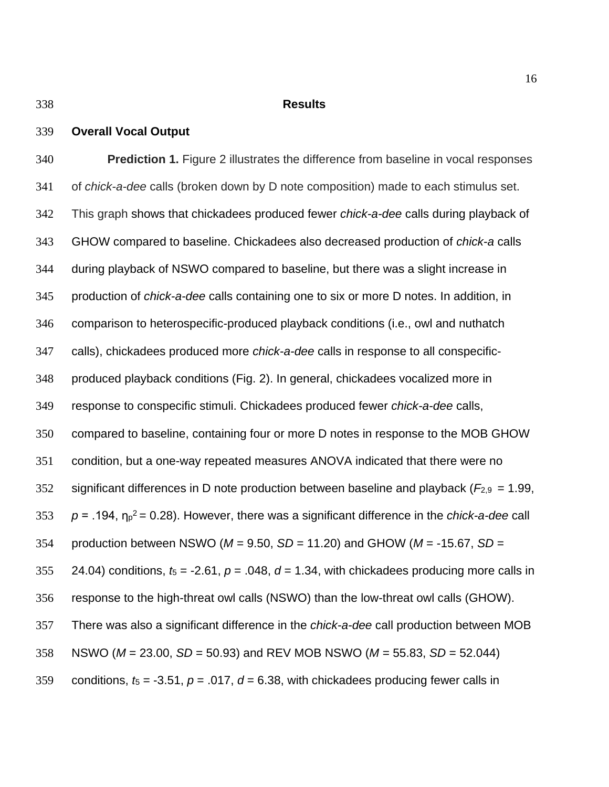**Overall Vocal Output**

#### **Results**

# **Prediction 1.** Figure 2 illustrates the difference from baseline in vocal responses of *chick-a-dee* calls (broken down by D note composition) made to each stimulus set. This graph shows that chickadees produced fewer *chick-a-dee* calls during playback of GHOW compared to baseline. Chickadees also decreased production of *chick-a* calls during playback of NSWO compared to baseline, but there was a slight increase in production of *chick-a-dee* calls containing one to six or more D notes. In addition, in comparison to heterospecific-produced playback conditions (i.e., owl and nuthatch calls), chickadees produced more *chick-a-dee* calls in response to all conspecific- produced playback conditions (Fig. 2). In general, chickadees vocalized more in response to conspecific stimuli. Chickadees produced fewer *chick-a-dee* calls, compared to baseline, containing four or more D notes in response to the MOB GHOW condition, but a one-way repeated measures ANOVA indicated that there were no significant differences in D note production between baseline and playback ( $F_{2,9}$  = 1.99,  $p = .194$ ,  $n_p^2 = 0.28$ ). However, there was a significant difference in the *chick-a-dee* call production between NSWO (*M* = 9.50, *SD* = 11.20) and GHOW (*M* = -15.67, *SD* = 355 24.04) conditions,  $t_5 = -2.61$ ,  $p = .048$ ,  $d = 1.34$ , with chickadees producing more calls in response to the high-threat owl calls (NSWO) than the low-threat owl calls (GHOW). There was also a significant difference in the *chick-a-dee* call production between MOB NSWO (*M* = 23.00, *SD* = 50.93) and REV MOB NSWO (*M* = 55.83, *SD* = 52.044) 359 conditions,  $t_5 = -3.51$ ,  $p = .017$ ,  $d = 6.38$ , with chickadees producing fewer calls in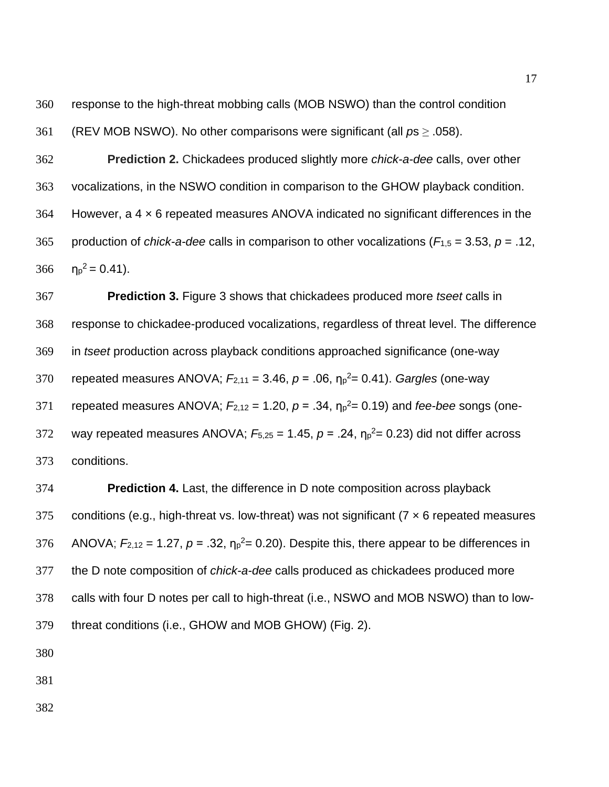response to the high-threat mobbing calls (MOB NSWO) than the control condition

(REV MOB NSWO). No other comparisons were significant (all *p*s ≥ .058).

 **Prediction 2.** Chickadees produced slightly more *chick-a-dee* calls, over other vocalizations, in the NSWO condition in comparison to the GHOW playback condition. However, a 4 × 6 repeated measures ANOVA indicated no significant differences in the 365 production of *chick-a-dee* calls in comparison to other vocalizations ( $F_{1,5} = 3.53$ ,  $p = .12$ ,  $\eta_p^2 = 0.41$ ).

 **Prediction 3.** Figure 3 shows that chickadees produced more *tseet* calls in response to chickadee-produced vocalizations, regardless of threat level. The difference in *tseet* production across playback conditions approached significance (one-way 370 repeated measures ANOVA;  $F_{2,11} = 3.46$ ,  $p = .06$ ,  $n_p^2 = 0.41$ ). *Gargles* (one-way  $r^2$  repeated measures ANOVA;  $F_{2,12} = 1.20$ ,  $p = .34$ ,  $n_p^2 = 0.19$ ) and *fee-bee* songs (one-372 way repeated measures ANOVA;  $F_{5,25} = 1.45$ ,  $p = .24$ ,  $n_p^2 = 0.23$ ) did not differ across conditions.

 **Prediction 4.** Last, the difference in D note composition across playback 375 conditions (e.g., high-threat vs. low-threat) was not significant ( $7 \times 6$  repeated measures 376 ANOVA;  $F_{2,12} = 1.27$ ,  $p = .32$ ,  $\eta_p^2 = 0.20$ ). Despite this, there appear to be differences in the D note composition of *chick-a-dee* calls produced as chickadees produced more calls with four D notes per call to high-threat (i.e., NSWO and MOB NSWO) than to low-threat conditions (i.e., GHOW and MOB GHOW) (Fig. 2).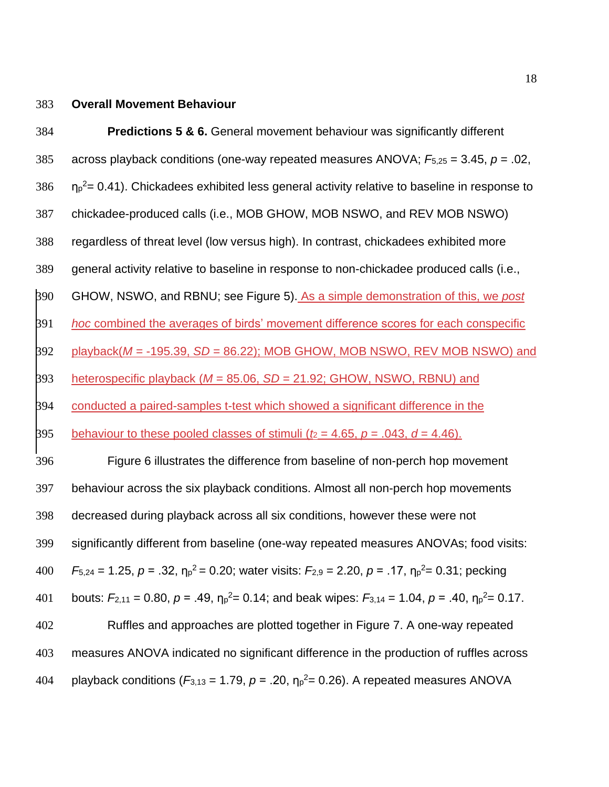## **Overall Movement Behaviour**

 **Predictions 5 & 6.** General movement behaviour was significantly different across playback conditions (one-way repeated measures ANOVA; *F*5,25 = 3.45, *p* = .02,  $\text{np}^2$  = 0.41). Chickadees exhibited less general activity relative to baseline in response to chickadee-produced calls (i.e., MOB GHOW, MOB NSWO, and REV MOB NSWO) regardless of threat level (low versus high). In contrast, chickadees exhibited more general activity relative to baseline in response to non-chickadee produced calls (i.e., GHOW, NSWO, and RBNU; see Figure 5). As a simple demonstration of this, we *post hoc* combined the averages of birds' movement difference scores for each conspecific playback(*M* = -195.39, *SD* = 86.22); MOB GHOW, MOB NSWO, REV MOB NSWO) and heterospecific playback (*M* = 85.06, *SD* = 21.92; GHOW, NSWO, RBNU) and 394 conducted a paired-samples t-test which showed a significant difference in the behaviour to these pooled classes of stimuli ( $t_2 = 4.65$ ,  $p = .043$ ,  $d = 4.46$ ). Figure 6 illustrates the difference from baseline of non-perch hop movement behaviour across the six playback conditions. Almost all non-perch hop movements decreased during playback across all six conditions, however these were not significantly different from baseline (one-way repeated measures ANOVAs; food visits:  $F_{5,24} = 1.25$ ,  $p = .32$ ,  $\eta_p^2 = 0.20$ ; water visits:  $F_{2,9} = 2.20$ ,  $p = .17$ ,  $\eta_p^2 = 0.31$ ; pecking 401 bouts:  $F_{2,11} = 0.80$ ,  $p = .49$ ,  $n_p^2 = 0.14$ ; and beak wipes:  $F_{3,14} = 1.04$ ,  $p = .40$ ,  $n_p^2 = 0.17$ . Ruffles and approaches are plotted together in Figure 7. A one-way repeated measures ANOVA indicated no significant difference in the production of ruffles across 404 playback conditions  $(F_{3,13} = 1.79, p = .20, \eta_p^2 = 0.26)$ . A repeated measures ANOVA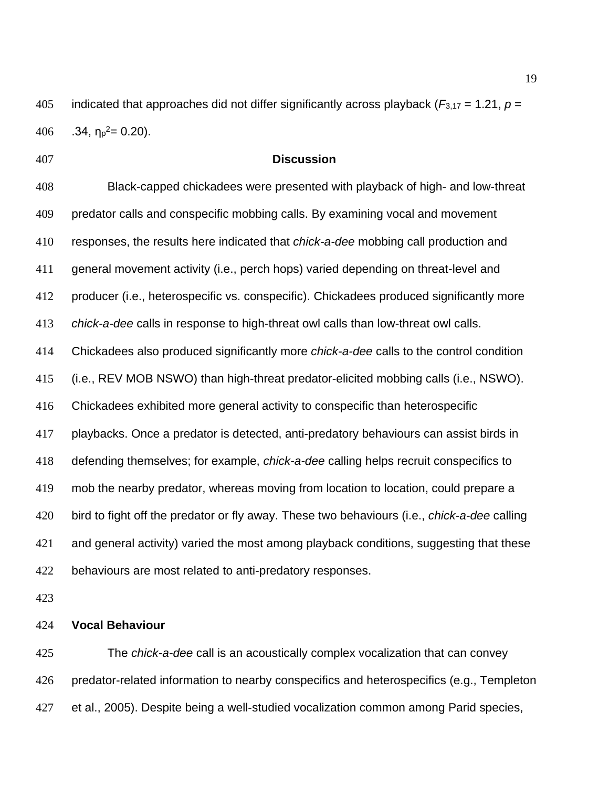405 indicated that approaches did not differ significantly across playback ( $F_{3,17}$  = 1.21,  $p =$ 406 .34,  $\eta_p^2 = 0.20$ ).

## **Discussion**

 Black-capped chickadees were presented with playback of high- and low-threat predator calls and conspecific mobbing calls. By examining vocal and movement responses, the results here indicated that *chick-a-dee* mobbing call production and general movement activity (i.e., perch hops) varied depending on threat-level and producer (i.e., heterospecific vs. conspecific). Chickadees produced significantly more *chick-a-dee* calls in response to high-threat owl calls than low-threat owl calls. Chickadees also produced significantly more *chick-a-dee* calls to the control condition (i.e., REV MOB NSWO) than high-threat predator-elicited mobbing calls (i.e., NSWO). Chickadees exhibited more general activity to conspecific than heterospecific playbacks. Once a predator is detected, anti-predatory behaviours can assist birds in defending themselves; for example, *chick-a-dee* calling helps recruit conspecifics to mob the nearby predator, whereas moving from location to location, could prepare a bird to fight off the predator or fly away. These two behaviours (i.e., *chick-a-dee* calling and general activity) varied the most among playback conditions, suggesting that these behaviours are most related to anti-predatory responses.

## **Vocal Behaviour**

 The *chick-a-dee* call is an acoustically complex vocalization that can convey predator-related information to nearby conspecifics and heterospecifics (e.g., Templeton et al., 2005). Despite being a well-studied vocalization common among Parid species,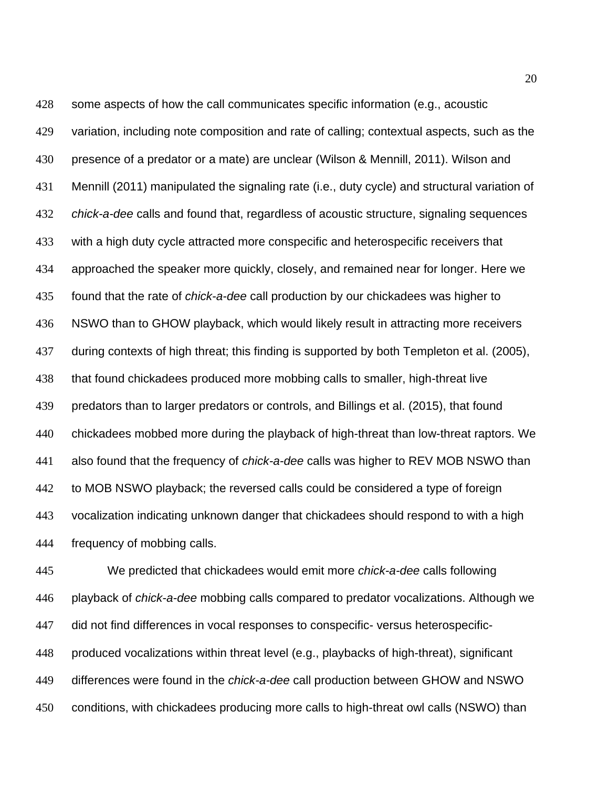some aspects of how the call communicates specific information (e.g., acoustic variation, including note composition and rate of calling; contextual aspects, such as the presence of a predator or a mate) are unclear (Wilson & Mennill, 2011). Wilson and Mennill (2011) manipulated the signaling rate (i.e., duty cycle) and structural variation of *chick-a-dee* calls and found that, regardless of acoustic structure, signaling sequences with a high duty cycle attracted more conspecific and heterospecific receivers that approached the speaker more quickly, closely, and remained near for longer. Here we found that the rate of *chick-a-dee* call production by our chickadees was higher to NSWO than to GHOW playback, which would likely result in attracting more receivers during contexts of high threat; this finding is supported by both Templeton et al. (2005), that found chickadees produced more mobbing calls to smaller, high-threat live predators than to larger predators or controls, and Billings et al. (2015), that found chickadees mobbed more during the playback of high-threat than low-threat raptors. We also found that the frequency of *chick-a-dee* calls was higher to REV MOB NSWO than to MOB NSWO playback; the reversed calls could be considered a type of foreign vocalization indicating unknown danger that chickadees should respond to with a high frequency of mobbing calls.

 We predicted that chickadees would emit more *chick-a-dee* calls following playback of *chick-a-dee* mobbing calls compared to predator vocalizations. Although we did not find differences in vocal responses to conspecific- versus heterospecific- produced vocalizations within threat level (e.g., playbacks of high-threat), significant differences were found in the *chick-a-dee* call production between GHOW and NSWO conditions, with chickadees producing more calls to high-threat owl calls (NSWO) than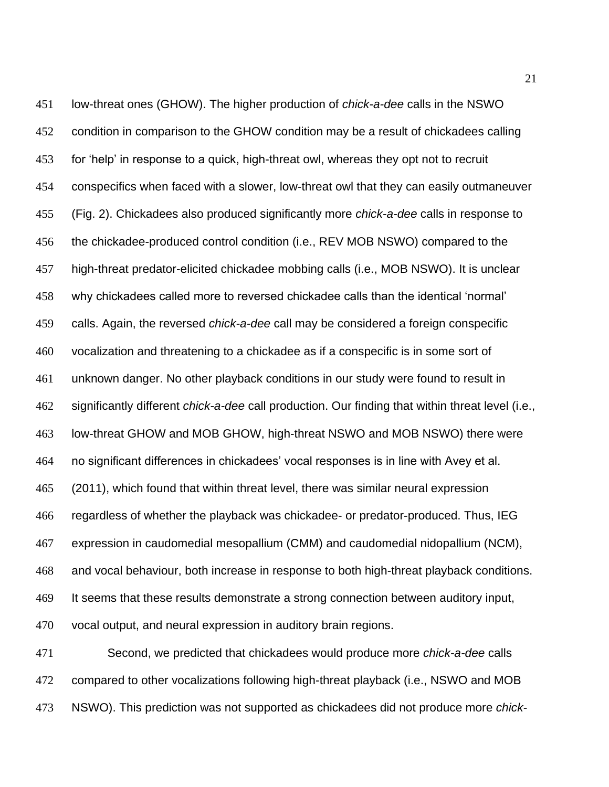low-threat ones (GHOW). The higher production of *chick-a-dee* calls in the NSWO 452 condition in comparison to the GHOW condition may be a result of chickadees calling for 'help' in response to a quick, high-threat owl, whereas they opt not to recruit conspecifics when faced with a slower, low-threat owl that they can easily outmaneuver (Fig. 2). Chickadees also produced significantly more *chick-a-dee* calls in response to the chickadee-produced control condition (i.e., REV MOB NSWO) compared to the high-threat predator-elicited chickadee mobbing calls (i.e., MOB NSWO). It is unclear why chickadees called more to reversed chickadee calls than the identical 'normal' calls. Again, the reversed *chick-a-dee* call may be considered a foreign conspecific vocalization and threatening to a chickadee as if a conspecific is in some sort of unknown danger. No other playback conditions in our study were found to result in significantly different *chick-a-dee* call production. Our finding that within threat level (i.e., low-threat GHOW and MOB GHOW, high-threat NSWO and MOB NSWO) there were no significant differences in chickadees' vocal responses is in line with Avey et al. (2011), which found that within threat level, there was similar neural expression regardless of whether the playback was chickadee- or predator-produced. Thus, IEG expression in caudomedial mesopallium (CMM) and caudomedial nidopallium (NCM), and vocal behaviour, both increase in response to both high-threat playback conditions. It seems that these results demonstrate a strong connection between auditory input, vocal output, and neural expression in auditory brain regions. Second, we predicted that chickadees would produce more *chick-a-dee* calls

 compared to other vocalizations following high-threat playback (i.e., NSWO and MOB NSWO). This prediction was not supported as chickadees did not produce more *chick-*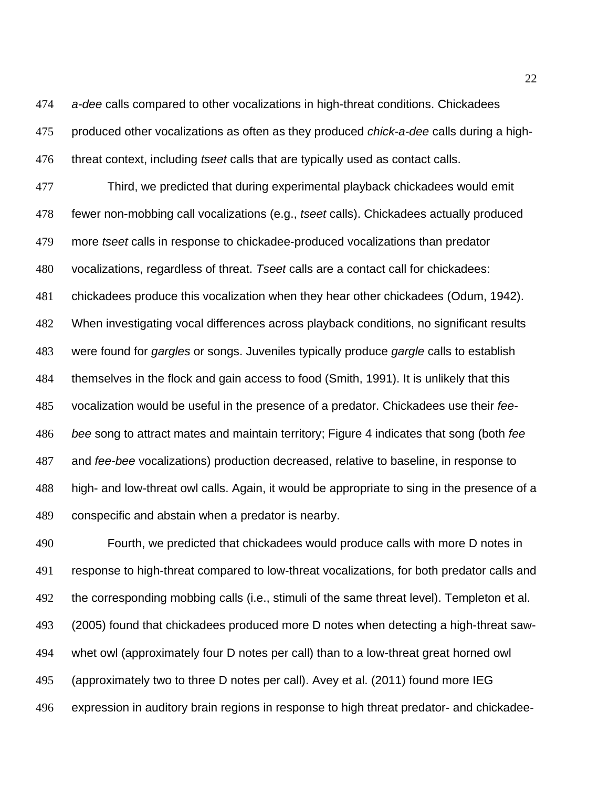*a-dee* calls compared to other vocalizations in high-threat conditions. Chickadees produced other vocalizations as often as they produced *chick-a-dee* calls during a high-threat context, including *tseet* calls that are typically used as contact calls.

 Third, we predicted that during experimental playback chickadees would emit fewer non-mobbing call vocalizations (e.g., *tseet* calls). Chickadees actually produced more *tseet* calls in response to chickadee-produced vocalizations than predator vocalizations, regardless of threat. *Tseet* calls are a contact call for chickadees: chickadees produce this vocalization when they hear other chickadees (Odum, 1942). When investigating vocal differences across playback conditions, no significant results were found for *gargles* or songs. Juveniles typically produce *gargle* calls to establish themselves in the flock and gain access to food (Smith, 1991). It is unlikely that this vocalization would be useful in the presence of a predator. Chickadees use their *fee- bee* song to attract mates and maintain territory; Figure 4 indicates that song (both *fee* and *fee-bee* vocalizations) production decreased, relative to baseline, in response to high- and low-threat owl calls. Again, it would be appropriate to sing in the presence of a conspecific and abstain when a predator is nearby.

 Fourth, we predicted that chickadees would produce calls with more D notes in response to high-threat compared to low-threat vocalizations, for both predator calls and the corresponding mobbing calls (i.e., stimuli of the same threat level). Templeton et al. (2005) found that chickadees produced more D notes when detecting a high-threat saw- whet owl (approximately four D notes per call) than to a low-threat great horned owl (approximately two to three D notes per call). Avey et al. (2011) found more IEG expression in auditory brain regions in response to high threat predator- and chickadee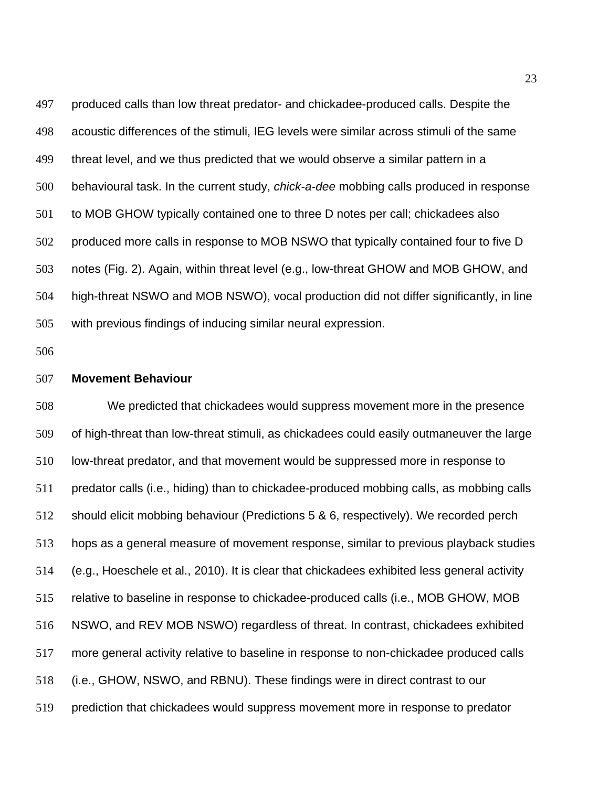produced calls than low threat predator- and chickadee-produced calls. Despite the acoustic differences of the stimuli, IEG levels were similar across stimuli of the same threat level, and we thus predicted that we would observe a similar pattern in a behavioural task. In the current study, *chick-a-dee* mobbing calls produced in response to MOB GHOW typically contained one to three D notes per call; chickadees also produced more calls in response to MOB NSWO that typically contained four to five D notes (Fig. 2). Again, within threat level (e.g., low-threat GHOW and MOB GHOW, and high-threat NSWO and MOB NSWO), vocal production did not differ significantly, in line with previous findings of inducing similar neural expression.

## **Movement Behaviour**

 We predicted that chickadees would suppress movement more in the presence of high-threat than low-threat stimuli, as chickadees could easily outmaneuver the large low-threat predator, and that movement would be suppressed more in response to predator calls (i.e., hiding) than to chickadee-produced mobbing calls, as mobbing calls should elicit mobbing behaviour (Predictions 5 & 6, respectively). We recorded perch hops as a general measure of movement response, similar to previous playback studies (e.g., Hoeschele et al., 2010). It is clear that chickadees exhibited less general activity relative to baseline in response to chickadee-produced calls (i.e., MOB GHOW, MOB NSWO, and REV MOB NSWO) regardless of threat. In contrast, chickadees exhibited more general activity relative to baseline in response to non-chickadee produced calls (i.e., GHOW, NSWO, and RBNU). These findings were in direct contrast to our prediction that chickadees would suppress movement more in response to predator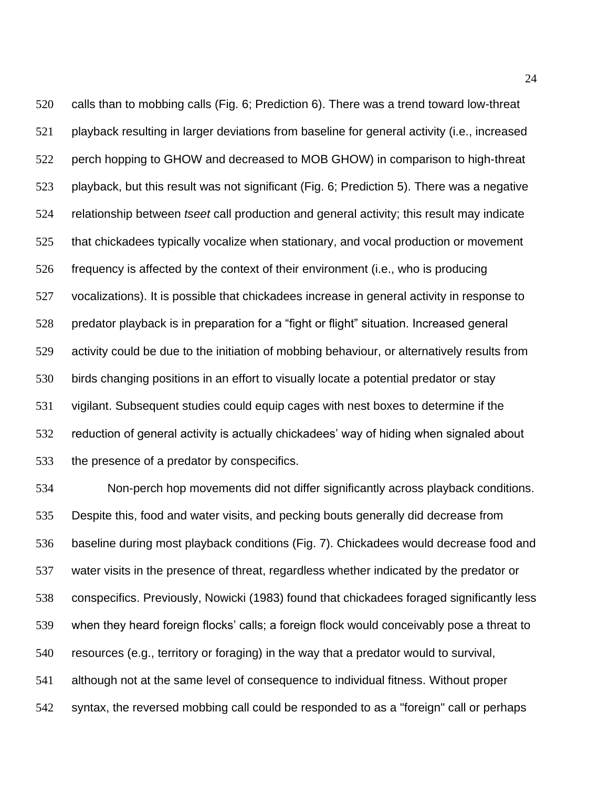calls than to mobbing calls (Fig. 6; Prediction 6). There was a trend toward low-threat playback resulting in larger deviations from baseline for general activity (i.e., increased perch hopping to GHOW and decreased to MOB GHOW) in comparison to high-threat playback, but this result was not significant (Fig. 6; Prediction 5). There was a negative relationship between *tseet* call production and general activity; this result may indicate that chickadees typically vocalize when stationary, and vocal production or movement frequency is affected by the context of their environment (i.e., who is producing vocalizations). It is possible that chickadees increase in general activity in response to predator playback is in preparation for a "fight or flight" situation. Increased general activity could be due to the initiation of mobbing behaviour, or alternatively results from birds changing positions in an effort to visually locate a potential predator or stay vigilant. Subsequent studies could equip cages with nest boxes to determine if the reduction of general activity is actually chickadees' way of hiding when signaled about the presence of a predator by conspecifics.

 Non-perch hop movements did not differ significantly across playback conditions. Despite this, food and water visits, and pecking bouts generally did decrease from baseline during most playback conditions (Fig. 7). Chickadees would decrease food and water visits in the presence of threat, regardless whether indicated by the predator or conspecifics. Previously, Nowicki (1983) found that chickadees foraged significantly less when they heard foreign flocks' calls; a foreign flock would conceivably pose a threat to resources (e.g., territory or foraging) in the way that a predator would to survival, although not at the same level of consequence to individual fitness. Without proper syntax, the reversed mobbing call could be responded to as a "foreign" call or perhaps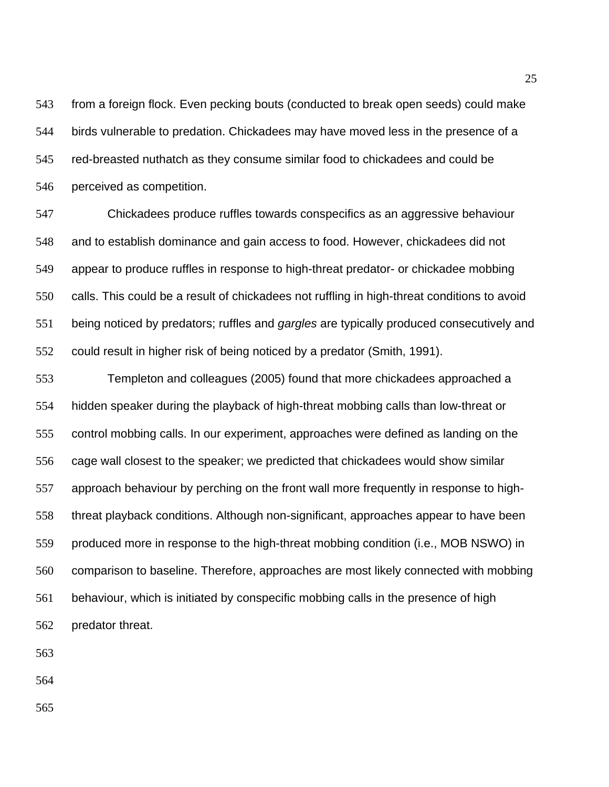from a foreign flock. Even pecking bouts (conducted to break open seeds) could make birds vulnerable to predation. Chickadees may have moved less in the presence of a red-breasted nuthatch as they consume similar food to chickadees and could be perceived as competition.

 Chickadees produce ruffles towards conspecifics as an aggressive behaviour and to establish dominance and gain access to food. However, chickadees did not appear to produce ruffles in response to high-threat predator- or chickadee mobbing calls. This could be a result of chickadees not ruffling in high-threat conditions to avoid being noticed by predators; ruffles and *gargles* are typically produced consecutively and could result in higher risk of being noticed by a predator (Smith, 1991).

 Templeton and colleagues (2005) found that more chickadees approached a hidden speaker during the playback of high-threat mobbing calls than low-threat or control mobbing calls. In our experiment, approaches were defined as landing on the cage wall closest to the speaker; we predicted that chickadees would show similar approach behaviour by perching on the front wall more frequently in response to high- threat playback conditions. Although non-significant, approaches appear to have been produced more in response to the high-threat mobbing condition (i.e., MOB NSWO) in comparison to baseline. Therefore, approaches are most likely connected with mobbing behaviour, which is initiated by conspecific mobbing calls in the presence of high predator threat.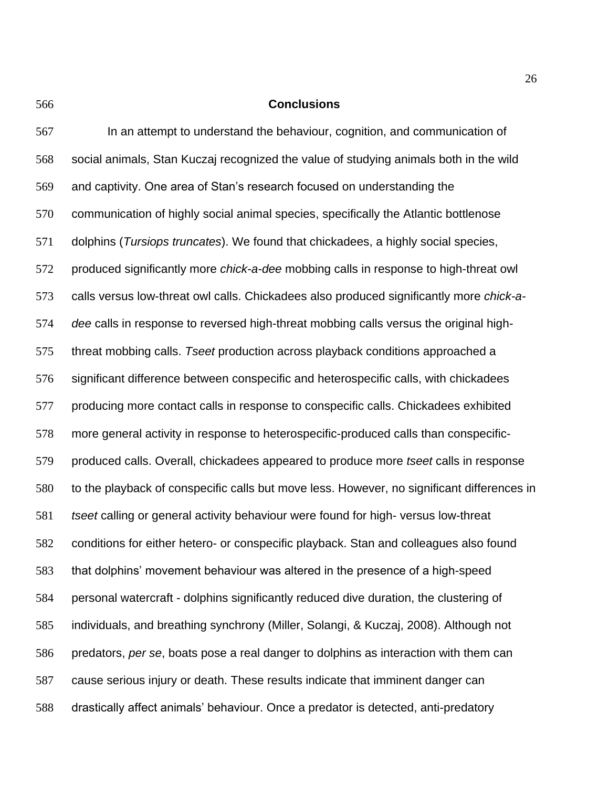## **Conclusions**

 In an attempt to understand the behaviour, cognition, and communication of social animals, Stan Kuczaj recognized the value of studying animals both in the wild and captivity. One area of Stan's research focused on understanding the communication of highly social animal species, specifically the Atlantic bottlenose dolphins (*Tursiops truncates*). We found that chickadees, a highly social species, produced significantly more *chick-a-dee* mobbing calls in response to high-threat owl calls versus low-threat owl calls. Chickadees also produced significantly more *chick-a- dee* calls in response to reversed high-threat mobbing calls versus the original high- threat mobbing calls. *Tseet* production across playback conditions approached a significant difference between conspecific and heterospecific calls, with chickadees producing more contact calls in response to conspecific calls. Chickadees exhibited more general activity in response to heterospecific-produced calls than conspecific- produced calls. Overall, chickadees appeared to produce more *tseet* calls in response to the playback of conspecific calls but move less. However, no significant differences in *tseet* calling or general activity behaviour were found for high- versus low-threat conditions for either hetero- or conspecific playback. Stan and colleagues also found that dolphins' movement behaviour was altered in the presence of a high-speed personal watercraft - dolphins significantly reduced dive duration, the clustering of individuals, and breathing synchrony (Miller, Solangi, & Kuczaj, 2008). Although not predators, *per se*, boats pose a real danger to dolphins as interaction with them can cause serious injury or death. These results indicate that imminent danger can drastically affect animals' behaviour. Once a predator is detected, anti-predatory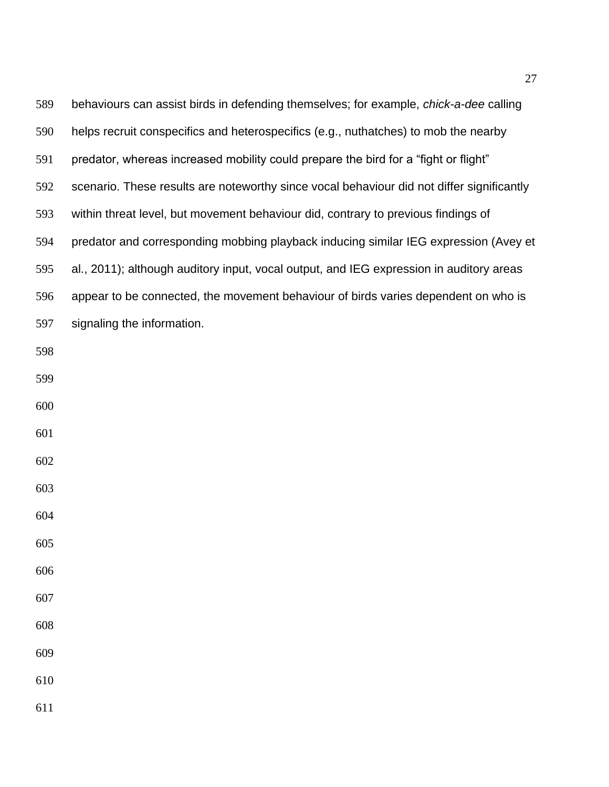| 589 | behaviours can assist birds in defending themselves; for example, <i>chick-a-dee</i> calling |
|-----|----------------------------------------------------------------------------------------------|
| 590 | helps recruit conspecifics and heterospecifics (e.g., nuthatches) to mob the nearby          |
| 591 | predator, whereas increased mobility could prepare the bird for a "fight or flight"          |
| 592 | scenario. These results are noteworthy since vocal behaviour did not differ significantly    |
| 593 | within threat level, but movement behaviour did, contrary to previous findings of            |
| 594 | predator and corresponding mobbing playback inducing similar IEG expression (Avey et         |
| 595 | al., 2011); although auditory input, vocal output, and IEG expression in auditory areas      |
| 596 | appear to be connected, the movement behaviour of birds varies dependent on who is           |
| 597 | signaling the information.                                                                   |
| 598 |                                                                                              |
| 599 |                                                                                              |
| 600 |                                                                                              |
| 601 |                                                                                              |
| 602 |                                                                                              |
| 603 |                                                                                              |
| 604 |                                                                                              |
| 605 |                                                                                              |
| 606 |                                                                                              |
| 607 |                                                                                              |
| 608 |                                                                                              |
| 609 |                                                                                              |
| 610 |                                                                                              |
| 611 |                                                                                              |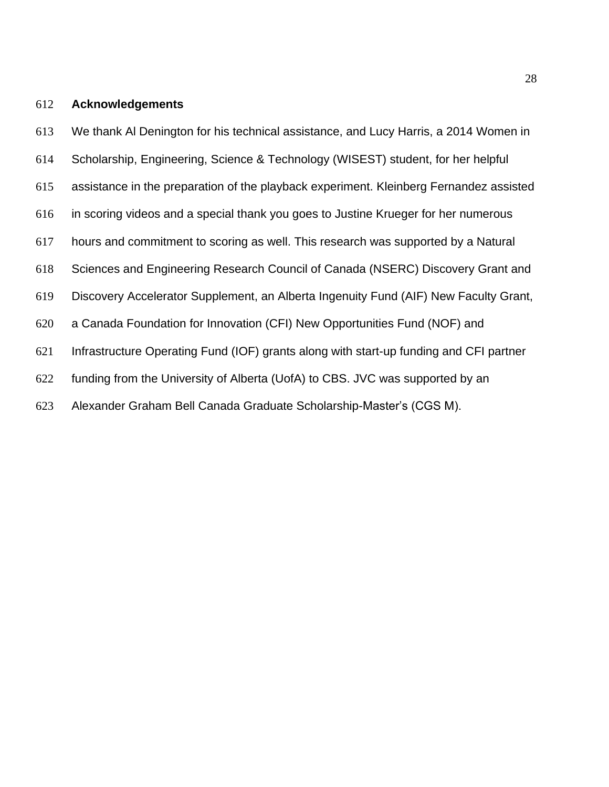# **Acknowledgements**

We thank Al Denington for his technical assistance, and Lucy Harris, a 2014 Women in

- Scholarship, Engineering, Science & Technology (WISEST) student, for her helpful
- assistance in the preparation of the playback experiment. Kleinberg Fernandez assisted
- in scoring videos and a special thank you goes to Justine Krueger for her numerous
- hours and commitment to scoring as well. This research was supported by a Natural
- Sciences and Engineering Research Council of Canada (NSERC) Discovery Grant and
- Discovery Accelerator Supplement, an Alberta Ingenuity Fund (AIF) New Faculty Grant,
- a Canada Foundation for Innovation (CFI) New Opportunities Fund (NOF) and
- Infrastructure Operating Fund (IOF) grants along with start-up funding and CFI partner
- funding from the University of Alberta (UofA) to CBS. JVC was supported by an
- Alexander Graham Bell Canada Graduate Scholarship-Master's (CGS M).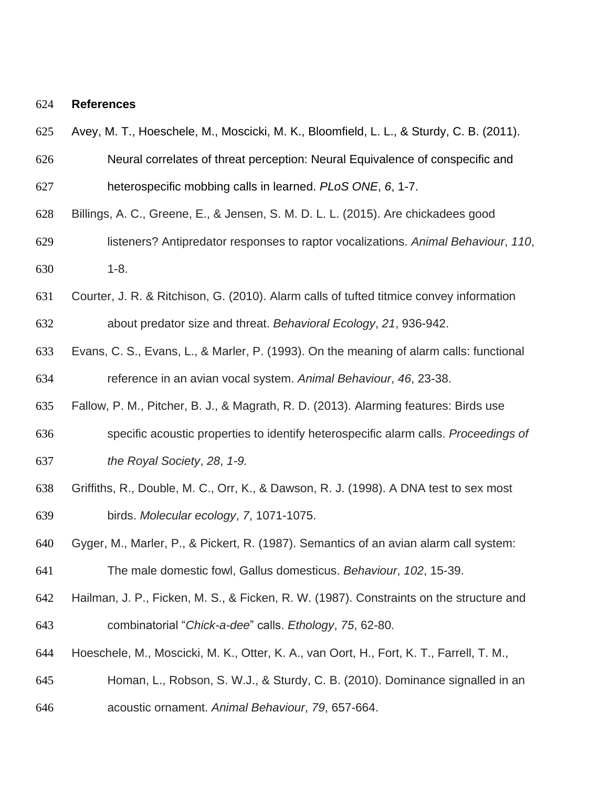#### **References**

- Avey, M. T., Hoeschele, M., Moscicki, M. K., Bloomfield, L. L., & Sturdy, C. B. (2011).
- Neural correlates of threat perception: Neural Equivalence of conspecific and
- heterospecific mobbing calls in learned. *PLoS ONE*, *6*, 1-7.
- Billings, A. C., Greene, E., & Jensen, S. M. D. L. L. (2015). Are chickadees good
- listeners? Antipredator responses to raptor vocalizations. *Animal Behaviour*, *110*, 1-8.
- Courter, J. R. & Ritchison, G. (2010). Alarm calls of tufted titmice convey information about predator size and threat. *Behavioral Ecology*, *21*, 936-942.
- Evans, C. S., Evans, L., & Marler, P. (1993). On the meaning of alarm calls: functional reference in an avian vocal system. *Animal Behaviour*, *46*, 23-38.
- Fallow, P. M., Pitcher, B. J., & Magrath, R. D. (2013). Alarming features: Birds use
- specific acoustic properties to identify heterospecific alarm calls. *Proceedings of*
- *the Royal Society*, *28*, *1-9.*
- Griffiths, R., Double, M. C., Orr, K., & Dawson, R. J. (1998). A DNA test to sex most birds. *Molecular ecology*, *7*, 1071-1075.
- Gyger, M., Marler, P., & Pickert, R. (1987). Semantics of an avian alarm call system: The male domestic fowl, Gallus domesticus. *Behaviour*, *102*, 15-39.
- Hailman, J. P., Ficken, M. S., & Ficken, R. W. (1987). Constraints on the structure and combinatorial "*Chick-a-dee*" calls. *Ethology*, *75*, 62-80.
- Hoeschele, M., Moscicki, M. K., Otter, K. A., van Oort, H., Fort, K. T., Farrell, T. M.,
- Homan, L., Robson, S. W.J., & Sturdy, C. B. (2010). Dominance signalled in an
- acoustic ornament. *Animal Behaviour*, *79*, 657-664.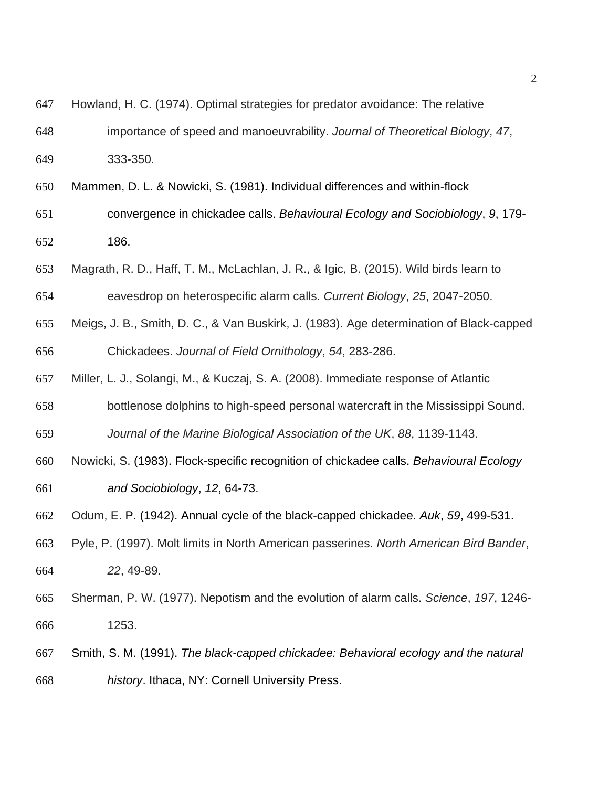- Howland, H. C. (1974). Optimal strategies for predator avoidance: The relative
- importance of speed and manoeuvrability. *Journal of Theoretical Biology*, *47*, 333-350.
- Mammen, D. L. & Nowicki, S. (1981). Individual differences and within-flock
- convergence in chickadee calls. *Behavioural Ecology and Sociobiology*, *9*, 179- 186.
- Magrath, R. D., Haff, T. M., McLachlan, J. R., & Igic, B. (2015). Wild birds learn to
- eavesdrop on heterospecific alarm calls. *Current Biology*, *25*, 2047-2050.
- Meigs, J. B., Smith, D. C., & Van Buskirk, J. (1983). Age determination of Black-capped Chickadees. *Journal of Field Ornithology*, *54*, 283-286.
- Miller, L. J., Solangi, M., & Kuczaj, S. A. (2008). Immediate response of Atlantic
- bottlenose dolphins to high-speed personal watercraft in the Mississippi Sound.
- *Journal of the Marine Biological Association of the UK*, *88*, 1139-1143.
- Nowicki, S. (1983). Flock-specific recognition of chickadee calls. *Behavioural Ecology and Sociobiology*, *12*, 64-73.
- Odum, E. P. (1942). Annual cycle of the black-capped chickadee. *Auk*, *59*, 499-531.
- Pyle, P. (1997). Molt limits in North American passerines. *North American Bird Bander*, *22*, 49-89.
- Sherman, P. W. (1977). Nepotism and the evolution of alarm calls. *Science*, *197*, 1246- 1253.
- Smith, S. M. (1991). *The black-capped chickadee: Behavioral ecology and the natural history*. Ithaca, NY: Cornell University Press.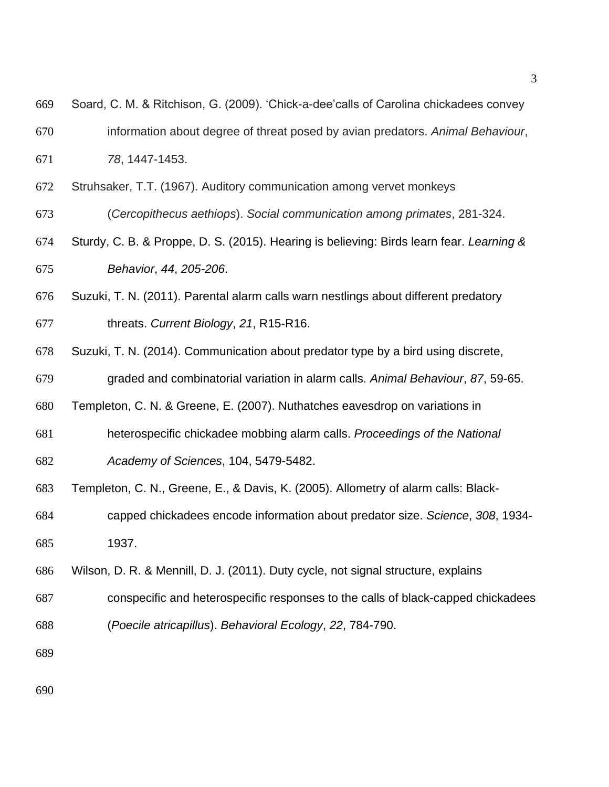| 670 | information about degree of threat posed by avian predators. Animal Behaviour,           |
|-----|------------------------------------------------------------------------------------------|
| 671 | 78, 1447-1453.                                                                           |
| 672 | Struhsaker, T.T. (1967). Auditory communication among vervet monkeys                     |
| 673 | (Cercopithecus aethiops). Social communication among primates, 281-324.                  |
| 674 | Sturdy, C. B. & Proppe, D. S. (2015). Hearing is believing: Birds learn fear. Learning & |
| 675 | Behavior, 44, 205-206.                                                                   |
| 676 | Suzuki, T. N. (2011). Parental alarm calls warn nestlings about different predatory      |
| 677 | threats. Current Biology, 21, R15-R16.                                                   |
| 678 | Suzuki, T. N. (2014). Communication about predator type by a bird using discrete,        |
| 679 | graded and combinatorial variation in alarm calls. Animal Behaviour, 87, 59-65.          |
| 680 | Templeton, C. N. & Greene, E. (2007). Nuthatches eavesdrop on variations in              |
| 681 | heterospecific chickadee mobbing alarm calls. Proceedings of the National                |
| 682 | Academy of Sciences, 104, 5479-5482.                                                     |
| 683 | Templeton, C. N., Greene, E., & Davis, K. (2005). Allometry of alarm calls: Black-       |
| 684 | capped chickadees encode information about predator size. Science, 308, 1934-            |
| 685 | 1937.                                                                                    |
| 686 | Wilson, D. R. & Mennill, D. J. (2011). Duty cycle, not signal structure, explains        |
| 687 | conspecific and heterospecific responses to the calls of black-capped chickadees         |
| 688 | (Poecile atricapillus). Behavioral Ecology, 22, 784-790.                                 |
| 689 |                                                                                          |

Soard, C. M. & Ritchison, G. (2009). 'Chick-a-dee'calls of Carolina chickadees convey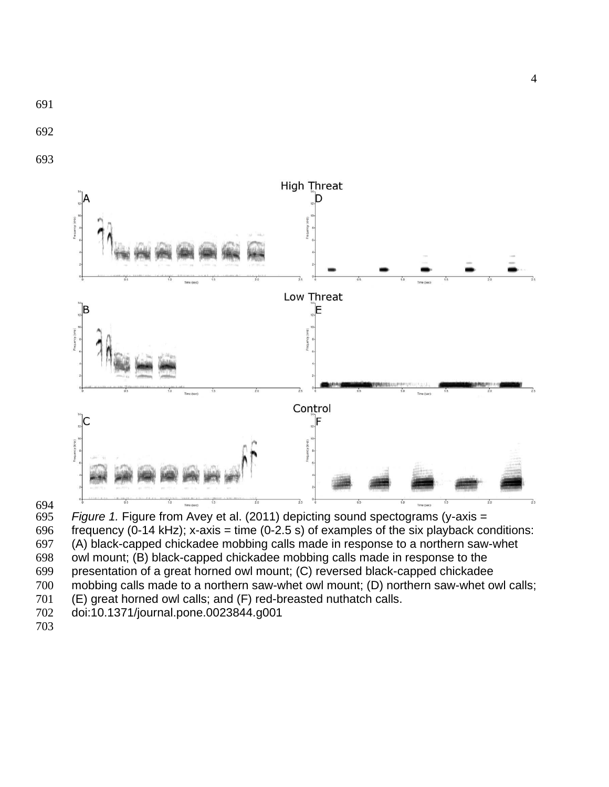



694<br>695 Figure 1. Figure from Avey et al. (2011) depicting sound spectograms (y-axis = 696 frequency (0-14 kHz); x-axis = time (0-2.5 s) of examples of the six playback conditions: (A) black-capped chickadee mobbing calls made in response to a northern saw-whet owl mount; (B) black-capped chickadee mobbing calls made in response to the presentation of a great horned owl mount; (C) reversed black-capped chickadee mobbing calls made to a northern saw-whet owl mount; (D) northern saw-whet owl calls; (E) great horned owl calls; and (F) red-breasted nuthatch calls. doi:10.1371/journal.pone.0023844.g001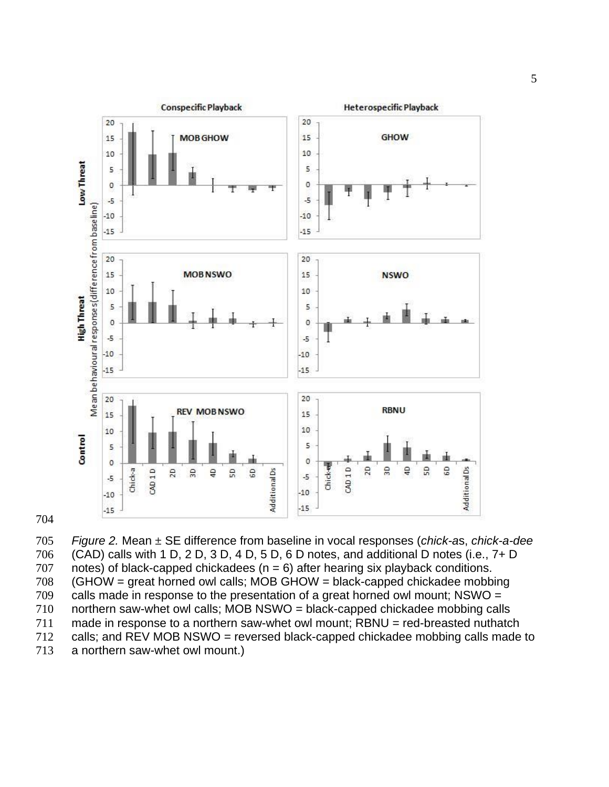



 *Figure 2.* Mean ± SE difference from baseline in vocal responses (*chick-a*s, *chick-a-dee* (CAD) calls with 1 D, 2 D, 3 D, 4 D, 5 D, 6 D notes, and additional D notes (i.e., 7+ D 707 notes) of black-capped chickadees  $(n = 6)$  after hearing six playback conditions. (GHOW = great horned owl calls; MOB GHOW = black-capped chickadee mobbing calls made in response to the presentation of a great horned owl mount; NSWO = northern saw-whet owl calls; MOB NSWO = black-capped chickadee mobbing calls made in response to a northern saw-whet owl mount; RBNU = red-breasted nuthatch calls; and REV MOB NSWO = reversed black-capped chickadee mobbing calls made to a northern saw-whet owl mount.)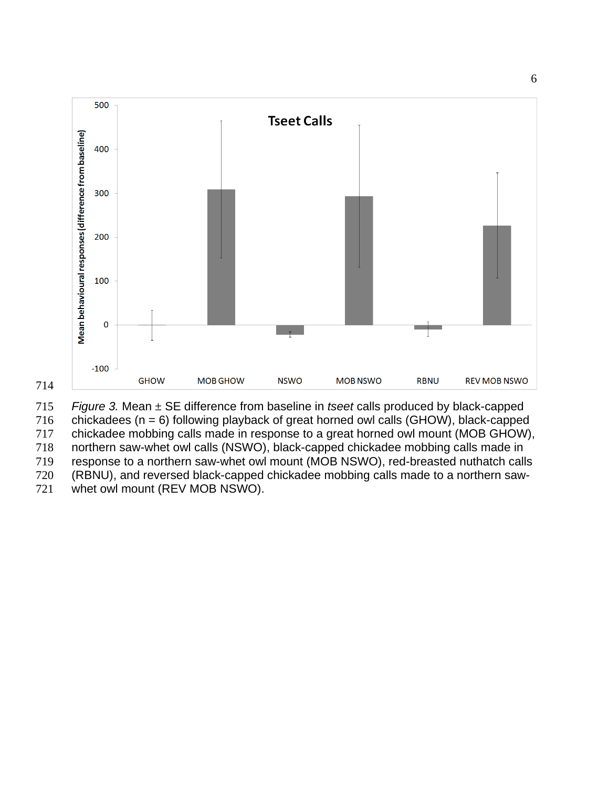

 *Figure 3.* Mean ± SE difference from baseline in *tseet* calls produced by black-capped 716 chickadees ( $n = 6$ ) following playback of great horned owl calls (GHOW), black-capped chickadee mobbing calls made in response to a great horned owl mount (MOB GHOW), northern saw-whet owl calls (NSWO), black-capped chickadee mobbing calls made in response to a northern saw-whet owl mount (MOB NSWO), red-breasted nuthatch calls (RBNU), and reversed black-capped chickadee mobbing calls made to a northern saw-whet owl mount (REV MOB NSWO).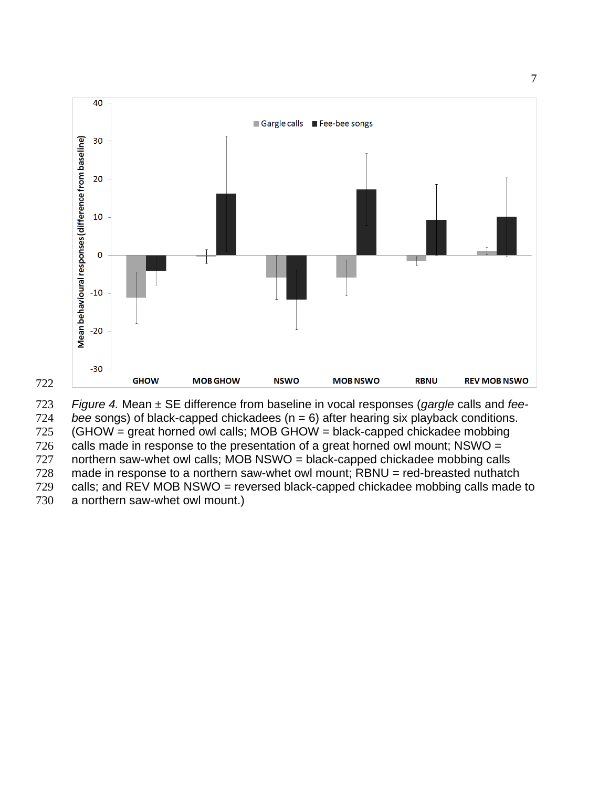

*Figure 4.* Mean ± SE difference from baseline in vocal responses (*gargle* calls and *fee-*

*bee* songs) of black-capped chickadees (n = 6) after hearing six playback conditions.

(GHOW = great horned owl calls; MOB GHOW = black-capped chickadee mobbing

726 calls made in response to the presentation of a great horned owl mount; NSWO =

727 northern saw-whet owl calls; MOB NSWO = black-capped chickadee mobbing calls

made in response to a northern saw-whet owl mount; RBNU = red-breasted nuthatch

calls; and REV MOB NSWO = reversed black-capped chickadee mobbing calls made to

a northern saw-whet owl mount.)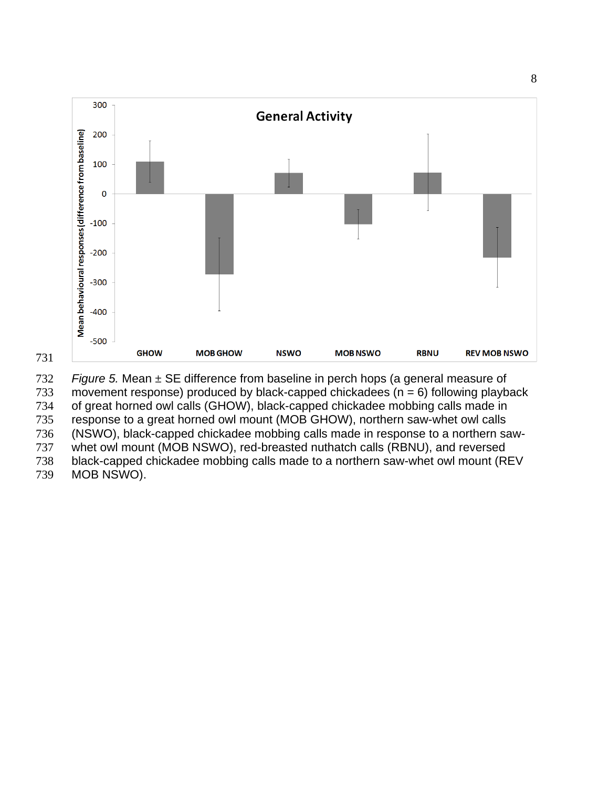

 *Figure 5.* Mean ± SE difference from baseline in perch hops (a general measure of 733 movement response) produced by black-capped chickadees ( $n = 6$ ) following playback of great horned owl calls (GHOW), black-capped chickadee mobbing calls made in response to a great horned owl mount (MOB GHOW), northern saw-whet owl calls (NSWO), black-capped chickadee mobbing calls made in response to a northern saw- whet owl mount (MOB NSWO), red-breasted nuthatch calls (RBNU), and reversed black-capped chickadee mobbing calls made to a northern saw-whet owl mount (REV MOB NSWO).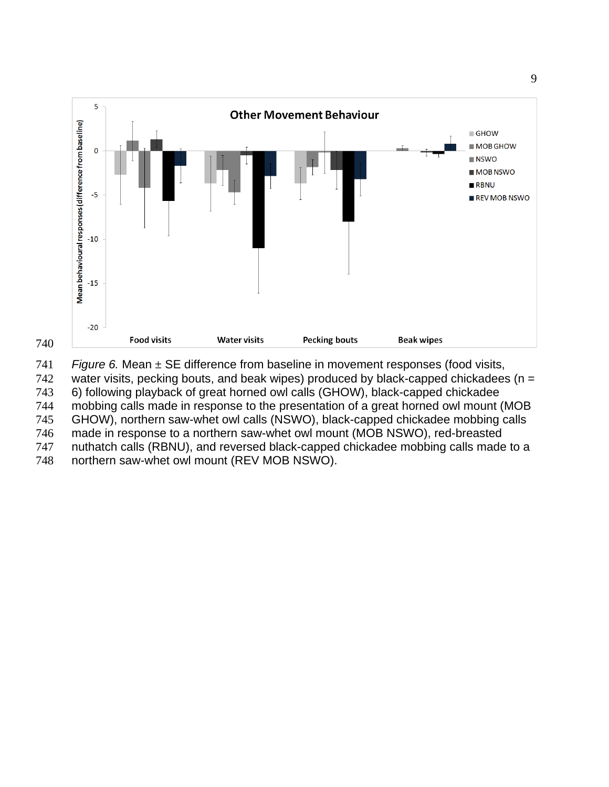



 *Figure 6.* Mean ± SE difference from baseline in movement responses (food visits, 742 water visits, pecking bouts, and beak wipes) produced by black-capped chickadees ( $n =$ 

6) following playback of great horned owl calls (GHOW), black-capped chickadee

mobbing calls made in response to the presentation of a great horned owl mount (MOB

 GHOW), northern saw-whet owl calls (NSWO), black-capped chickadee mobbing calls made in response to a northern saw-whet owl mount (MOB NSWO), red-breasted

nuthatch calls (RBNU), and reversed black-capped chickadee mobbing calls made to a

northern saw-whet owl mount (REV MOB NSWO).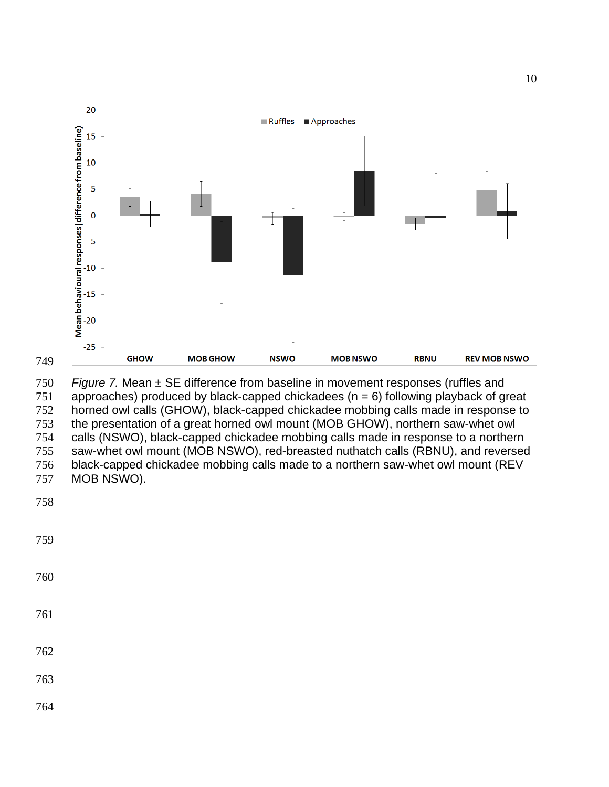

 *Figure 7.* Mean ± SE difference from baseline in movement responses (ruffles and 751 approaches) produced by black-capped chickadees ( $n = 6$ ) following playback of great horned owl calls (GHOW), black-capped chickadee mobbing calls made in response to the presentation of a great horned owl mount (MOB GHOW), northern saw-whet owl calls (NSWO), black-capped chickadee mobbing calls made in response to a northern saw-whet owl mount (MOB NSWO), red-breasted nuthatch calls (RBNU), and reversed black-capped chickadee mobbing calls made to a northern saw-whet owl mount (REV MOB NSWO).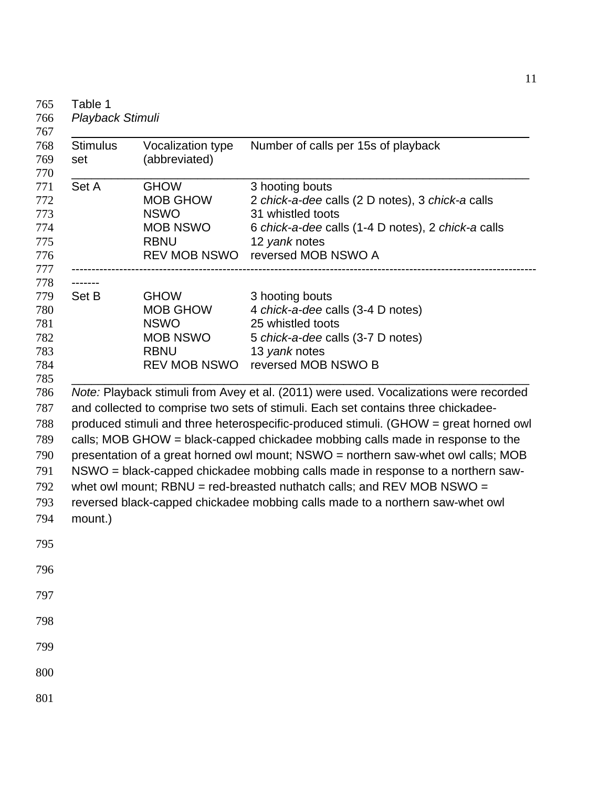| <b>Stimulus</b><br>set | Vocalization type<br>(abbreviated)                                                                     | Number of calls per 15s of playback                                                                                                                                                                                                                                                                                                                                                                                                                                                                                                                                                                                                                                                           |
|------------------------|--------------------------------------------------------------------------------------------------------|-----------------------------------------------------------------------------------------------------------------------------------------------------------------------------------------------------------------------------------------------------------------------------------------------------------------------------------------------------------------------------------------------------------------------------------------------------------------------------------------------------------------------------------------------------------------------------------------------------------------------------------------------------------------------------------------------|
| Set A                  | <b>GHOW</b><br><b>MOB GHOW</b><br><b>NSWO</b><br><b>MOB NSWO</b><br><b>RBNU</b><br><b>REV MOB NSWO</b> | 3 hooting bouts<br>2 chick-a-dee calls (2 D notes), 3 chick-a calls<br>31 whistled toots<br>6 chick-a-dee calls (1-4 D notes), 2 chick-a calls<br>12 yank notes<br>reversed MOB NSWO A                                                                                                                                                                                                                                                                                                                                                                                                                                                                                                        |
| -------<br>Set B       | <b>GHOW</b><br><b>MOB GHOW</b><br><b>NSWO</b><br><b>MOB NSWO</b><br><b>RBNU</b><br><b>REV MOB NSWO</b> | 3 hooting bouts<br>4 chick-a-dee calls (3-4 D notes)<br>25 whistled toots<br>5 chick-a-dee calls (3-7 D notes)<br>13 yank notes<br>reversed MOB NSWO B                                                                                                                                                                                                                                                                                                                                                                                                                                                                                                                                        |
| mount.)                |                                                                                                        | Note: Playback stimuli from Avey et al. (2011) were used. Vocalizations were recorded<br>and collected to comprise two sets of stimuli. Each set contains three chickadee-<br>produced stimuli and three heterospecific-produced stimuli. (GHOW = great horned owl<br>calls; MOB GHOW = black-capped chickadee mobbing calls made in response to the<br>presentation of a great horned owl mount; NSWO = northern saw-whet owl calls; MOB<br>NSWO = black-capped chickadee mobbing calls made in response to a northern saw-<br>whet owl mount; $RBNU = red-breatested$ nuthatch calls; and $REV MOB NSWO =$<br>reversed black-capped chickadee mobbing calls made to a northern saw-whet owl |
|                        |                                                                                                        |                                                                                                                                                                                                                                                                                                                                                                                                                                                                                                                                                                                                                                                                                               |
|                        |                                                                                                        |                                                                                                                                                                                                                                                                                                                                                                                                                                                                                                                                                                                                                                                                                               |
|                        |                                                                                                        |                                                                                                                                                                                                                                                                                                                                                                                                                                                                                                                                                                                                                                                                                               |
|                        |                                                                                                        |                                                                                                                                                                                                                                                                                                                                                                                                                                                                                                                                                                                                                                                                                               |
|                        |                                                                                                        |                                                                                                                                                                                                                                                                                                                                                                                                                                                                                                                                                                                                                                                                                               |
|                        |                                                                                                        |                                                                                                                                                                                                                                                                                                                                                                                                                                                                                                                                                                                                                                                                                               |